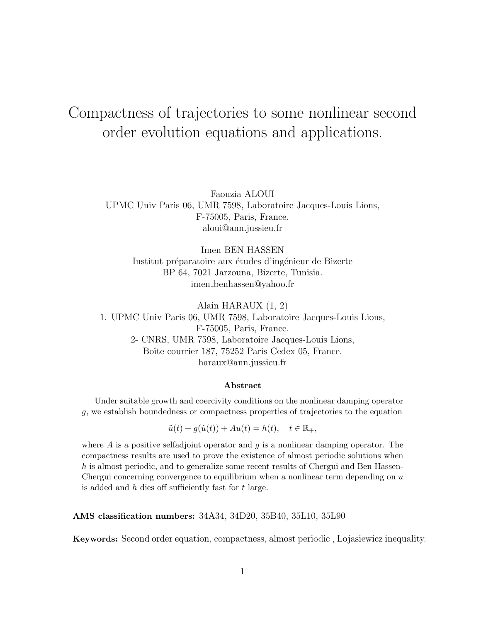# Compactness of trajectories to some nonlinear second order evolution equations and applications.

Faouzia ALOUI UPMC Univ Paris 06, UMR 7598, Laboratoire Jacques-Louis Lions, F-75005, Paris, France. aloui@ann.jussieu.fr

Imen BEN HASSEN Institut préparatoire aux études d'ingénieur de Bizerte BP 64, 7021 Jarzouna, Bizerte, Tunisia. imen benhassen@yahoo.fr

Alain HARAUX (1, 2) 1. UPMC Univ Paris 06, UMR 7598, Laboratoire Jacques-Louis Lions, F-75005, Paris, France. 2- CNRS, UMR 7598, Laboratoire Jacques-Louis Lions, Boîte courrier 187, 75252 Paris Cedex 05, France. haraux@ann.jussieu.fr

#### Abstract

Under suitable growth and coercivity conditions on the nonlinear damping operator g, we establish boundedness or compactness properties of trajectories to the equation

 $\ddot{u}(t) + q(\dot{u}(t)) + Au(t) = h(t), \quad t \in \mathbb{R}_+,$ 

where  $A$  is a positive selfadjoint operator and  $g$  is a nonlinear damping operator. The compactness results are used to prove the existence of almost periodic solutions when h is almost periodic, and to generalize some recent results of Chergui and Ben Hassen-Chergui concerning convergence to equilibrium when a nonlinear term depending on  $u$ is added and  $h$  dies off sufficiently fast for  $t$  large.

AMS classification numbers: 34A34, 34D20, 35B40, 35L10, 35L90

Keywords: Second order equation, compactness, almost periodic , Lojasiewicz inequality.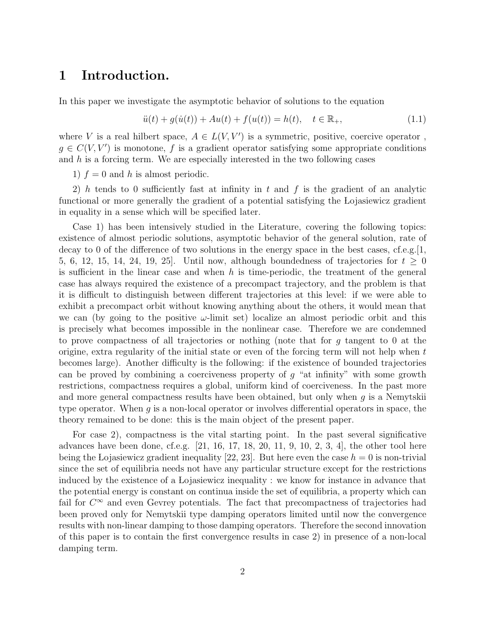# 1 Introduction.

In this paper we investigate the asymptotic behavior of solutions to the equation

$$
\ddot{u}(t) + g(\dot{u}(t)) + Au(t) + f(u(t)) = h(t), \quad t \in \mathbb{R}_+, \tag{1.1}
$$

where V is a real hilbert space,  $A \in L(V, V')$  is a symmetric, positive, coercive operator,  $g \in C(V, V')$  is monotone, f is a gradient operator satisfying some appropriate conditions and  $h$  is a forcing term. We are especially interested in the two following cases

1)  $f = 0$  and h is almost periodic.

2) h tends to 0 sufficiently fast at infinity in t and f is the gradient of an analytic functional or more generally the gradient of a potential satisfying the Lojasiewicz gradient in equality in a sense which will be specified later.

Case 1) has been intensively studied in the Literature, covering the following topics: existence of almost periodic solutions, asymptotic behavior of the general solution, rate of decay to 0 of the difference of two solutions in the energy space in the best cases, cf.e.g.[1,] 5, 6, 12, 15, 14, 24, 19, 25]. Until now, although boundedness of trajectories for  $t \geq 0$ is sufficient in the linear case and when  $h$  is time-periodic, the treatment of the general case has always required the existence of a precompact trajectory, and the problem is that it is difficult to distinguish between different trajectories at this level: if we were able to exhibit a precompact orbit without knowing anything about the others, it would mean that we can (by going to the positive  $\omega$ -limit set) localize an almost periodic orbit and this is precisely what becomes impossible in the nonlinear case. Therefore we are condemned to prove compactness of all trajectories or nothing (note that for g tangent to 0 at the origine, extra regularity of the initial state or even of the forcing term will not help when t becomes large). Another difficulty is the following: if the existence of bounded trajectories can be proved by combining a coerciveness property of  $g$  "at infinity" with some growth restrictions, compactness requires a global, uniform kind of coerciveness. In the past more and more general compactness results have been obtained, but only when  $g$  is a Nemytskii type operator. When  $q$  is a non-local operator or involves differential operators in space, the theory remained to be done: this is the main object of the present paper.

For case 2), compactness is the vital starting point. In the past several significative advances have been done, cf.e.g.  $[21, 16, 17, 18, 20, 11, 9, 10, 2, 3, 4]$ , the other tool here being the Lojasiewicz gradient inequality [22, 23]. But here even the case  $h = 0$  is non-trivial since the set of equilibria needs not have any particular structure except for the restrictions induced by the existence of a Lojasiewicz inequality : we know for instance in advance that the potential energy is constant on continua inside the set of equilibria, a property which can fail for  $C^{\infty}$  and even Gevrey potentials. The fact that precompactness of trajectories had been proved only for Nemytskii type damping operators limited until now the convergence results with non-linear damping to those damping operators. Therefore the second innovation of this paper is to contain the first convergence results in case 2) in presence of a non-local damping term.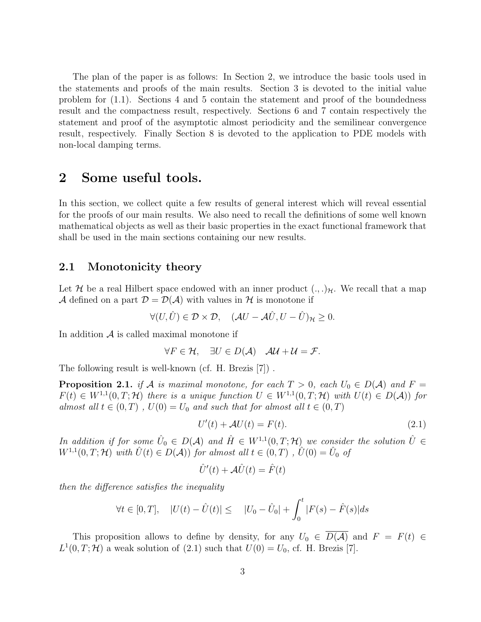The plan of the paper is as follows: In Section 2, we introduce the basic tools used in the statements and proofs of the main results. Section 3 is devoted to the initial value problem for (1.1). Sections 4 and 5 contain the statement and proof of the boundedness result and the compactness result, respectively. Sections 6 and 7 contain respectively the statement and proof of the asymptotic almost periodicity and the semilinear convergence result, respectively. Finally Section 8 is devoted to the application to PDE models with non-local damping terms.

## 2 Some useful tools.

In this section, we collect quite a few results of general interest which will reveal essential for the proofs of our main results. We also need to recall the definitions of some well known mathematical objects as well as their basic properties in the exact functional framework that shall be used in the main sections containing our new results.

#### 2.1 Monotonicity theory

Let H be a real Hilbert space endowed with an inner product  $(.,.)_{\mathcal{H}}$ . We recall that a map A defined on a part  $\mathcal{D} = \mathcal{D}(\mathcal{A})$  with values in H is monotone if

$$
\forall (U, \hat{U}) \in \mathcal{D} \times \mathcal{D}, \quad (\mathcal{A}U - \mathcal{A}\hat{U}, U - \hat{U})_{\mathcal{H}} \ge 0.
$$

In addition  $A$  is called maximal monotone if

$$
\forall F \in \mathcal{H}, \quad \exists U \in D(\mathcal{A}) \quad \mathcal{A}\mathcal{U} + \mathcal{U} = \mathcal{F}.
$$

The following result is well-known (cf. H. Brezis [7]) .

**Proposition 2.1.** if A is maximal monotone, for each  $T > 0$ , each  $U_0 \in D(A)$  and  $F =$  $F(t) \in W^{1,1}(0,T;\mathcal{H})$  there is a unique function  $U \in W^{1,1}(0,T;\mathcal{H})$  with  $U(t) \in D(\mathcal{A})$  for almost all  $t \in (0, T)$ ,  $U(0) = U_0$  and such that for almost all  $t \in (0, T)$ 

$$
U'(t) + \mathcal{A}U(t) = F(t). \tag{2.1}
$$

In addition if for some  $\hat{U}_0 \in D(\mathcal{A})$  and  $\hat{H} \in W^{1,1}(0,T;\mathcal{H})$  we consider the solution  $\hat{U} \in$  $W^{1,1}(0,T;\mathcal{H})$  with  $\hat{U}(t) \in D(\mathcal{A}))$  for almost all  $t \in (0,T)$ ,  $\hat{U}(0) = \hat{U}_0$  of

$$
\hat{U}'(t) + \mathcal{A}\hat{U}(t) = \hat{F}(t)
$$

then the difference satisfies the inequality

$$
\forall t \in [0, T], \quad |U(t) - \hat{U}(t)| \leq |U_0 - \hat{U}_0| + \int_0^t |F(s) - \hat{F}(s)| ds
$$

This proposition allows to define by density, for any  $U_0 \in \overline{D(A)}$  and  $F = F(t) \in$  $L^1(0,T;\mathcal{H})$  a weak solution of (2.1) such that  $U(0) = U_0$ , cf. H. Brezis [7].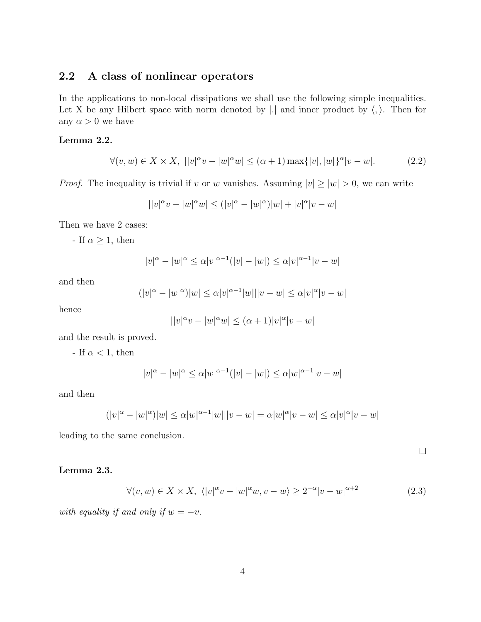## 2.2 A class of nonlinear operators

In the applications to non-local dissipations we shall use the following simple inequalities. Let X be any Hilbert space with norm denoted by  $|.|$  and inner product by  $\langle, \rangle$ . Then for any  $\alpha > 0$  we have

#### Lemma 2.2.

$$
\forall (v, w) \in X \times X, \ ||v|^{\alpha}v - |w|^{\alpha}w \le (\alpha + 1) \max\{|v|, |w|\}^{\alpha}|v - w|.
$$
 (2.2)

*Proof.* The inequality is trivial if v or w vanishes. Assuming  $|v| \ge |w| > 0$ , we can write

$$
||v|^{\alpha}v - |w|^{\alpha}w| \le (|v|^{\alpha} - |w|^{\alpha})|w| + |v|^{\alpha}|v - w|
$$

Then we have 2 cases:

- If  $\alpha \geq 1$ , then

$$
|v|^{\alpha} - |w|^{\alpha} \le \alpha |v|^{\alpha - 1} (|v| - |w|) \le \alpha |v|^{\alpha - 1} |v - w|
$$

and then

$$
(|v|^{\alpha} - |w|^{\alpha})|w| \le \alpha |v|^{\alpha - 1}|w|||v - w| \le \alpha |v|^{\alpha} |v - w|
$$

hence

$$
||v|^{\alpha}v - |w|^{\alpha}w| \le (\alpha + 1)|v|^{\alpha}|v - w|
$$

and the result is proved.

- If  $\alpha$  < 1, then

$$
|v|^{\alpha} - |w|^{\alpha} \le \alpha |w|^{\alpha - 1} (|v| - |w|) \le \alpha |w|^{\alpha - 1} |v - w|
$$

and then

$$
(|v|^{\alpha} - |w|^{\alpha})|w| \leq \alpha |w|^{\alpha - 1}|w|||v - w| = \alpha |w|^{\alpha} |v - w| \leq \alpha |v|^{\alpha} |v - w|
$$

leading to the same conclusion.

Lemma 2.3.

$$
\forall (v, w) \in X \times X, \ \langle |v|^\alpha v - |w|^\alpha w, v - w \rangle \ge 2^{-\alpha} |v - w|^{\alpha + 2} \tag{2.3}
$$

 $\Box$ 

with equality if and only if  $w = -v$ .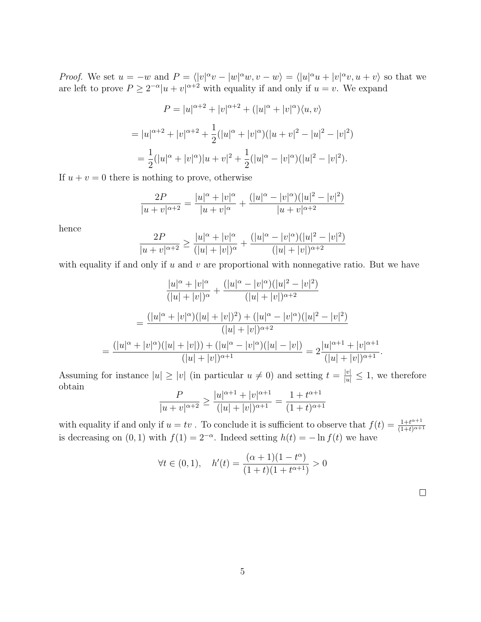*Proof.* We set  $u = -w$  and  $P = \langle |v|^\alpha v - |w|^\alpha w, v - w \rangle = \langle |u|^\alpha u + |v|^\alpha v, u + v \rangle$  so that we are left to prove  $P \geq 2^{-\alpha} |u + v|^{\alpha+2}$  with equality if and only if  $u = v$ . We expand

$$
P = |u|^{\alpha+2} + |v|^{\alpha+2} + (|u|^{\alpha} + |v|^{\alpha})\langle u, v\rangle
$$
  
=  $|u|^{\alpha+2} + |v|^{\alpha+2} + \frac{1}{2}(|u|^{\alpha} + |v|^{\alpha})(|u+v|^2 - |u|^2 - |v|^2)$   
=  $\frac{1}{2}(|u|^{\alpha} + |v|^{\alpha})|u+v|^2 + \frac{1}{2}(|u|^{\alpha} - |v|^{\alpha})(|u|^2 - |v|^2).$ 

If  $u + v = 0$  there is nothing to prove, otherwise

$$
\frac{2P}{|u+v|^{\alpha+2}} = \frac{|u|^{\alpha} + |v|^{\alpha}}{|u+v|^{\alpha}} + \frac{(|u|^{\alpha} - |v|^{\alpha})(|u|^2 - |v|^2)}{|u+v|^{\alpha+2}}
$$

hence

$$
\frac{2P}{|u+v|^{\alpha+2}} \ge \frac{|u|^\alpha + |v|^\alpha}{(|u|+|v|)^\alpha} + \frac{(|u|^\alpha - |v|^\alpha)(|u|^2 - |v|^2)}{(|u|+|v|)^{\alpha+2}}
$$

with equality if and only if  $u$  and  $v$  are proportional with nonnegative ratio. But we have

$$
\frac{|u|^{\alpha} + |v|^{\alpha}}{(|u| + |v|)^{\alpha}} + \frac{(|u|^{\alpha} - |v|^{\alpha})(|u|^2 - |v|^2)}{(|u| + |v|)^{\alpha+2}}
$$

$$
= \frac{(|u|^{\alpha} + |v|^{\alpha})(|u| + |v|)^2) + (|u|^{\alpha} - |v|^{\alpha})(|u|^2 - |v|^2)}{(|u| + |v|)^{\alpha+2}}
$$

$$
= \frac{(|u|^{\alpha} + |v|^{\alpha})(|u| + |v|) + (|u|^{\alpha} - |v|^{\alpha})(|u| - |v|)}{(|u| + |v|)^{\alpha+1}} = 2\frac{|u|^{\alpha+1} + |v|^{\alpha+1}}{(|u| + |v|)^{\alpha+1}}.
$$

Assuming for instance  $|u| \ge |v|$  (in particular  $u \ne 0$ ) and setting  $t = \frac{|v|}{|u|} \le 1$ , we therefore obtain

$$
\frac{P}{|u+v|^{\alpha+2}} \ge \frac{|u|^{\alpha+1} + |v|^{\alpha+1}}{(|u|+|v|)^{\alpha+1}} = \frac{1+t^{\alpha+1}}{(1+t)^{\alpha+1}}
$$

with equality if and only if  $u = tv$ . To conclude it is sufficient to observe that  $f(t) = \frac{1+t^{\alpha+1}}{(1+t)^{\alpha+1}}$  $(1+t)^{\alpha+1}$ is decreasing on  $(0, 1)$  with  $f(1) = 2^{-\alpha}$ . Indeed setting  $h(t) = -\ln f(t)$  we have

$$
\forall t \in (0, 1), \quad h'(t) = \frac{(\alpha + 1)(1 - t^{\alpha})}{(1 + t)(1 + t^{\alpha + 1})} > 0
$$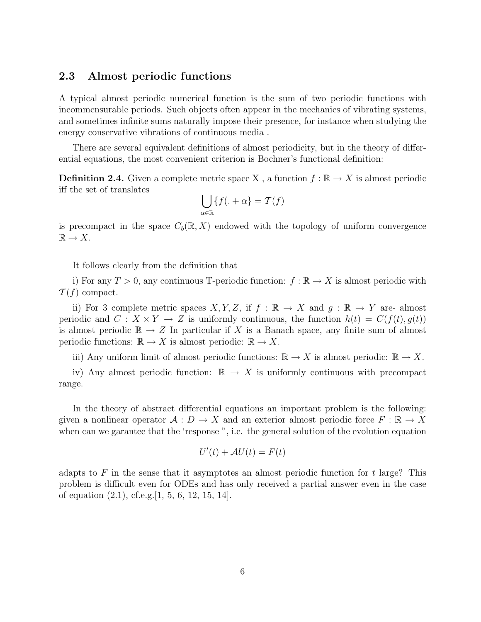#### 2.3 Almost periodic functions

A typical almost periodic numerical function is the sum of two periodic functions with incommensurable periods. Such objects often appear in the mechanics of vibrating systems, and sometimes infinite sums naturally impose their presence, for instance when studying the energy conservative vibrations of continuous media .

There are several equivalent definitions of almost periodicity, but in the theory of differential equations, the most convenient criterion is Bochner's functional definition:

**Definition 2.4.** Given a complete metric space X, a function  $f : \mathbb{R} \to X$  is almost periodic iff the set of translates

$$
\bigcup_{\alpha \in \mathbb{R}} \{f(. + \alpha) = \mathcal{T}(f)
$$

is precompact in the space  $C_b(\mathbb{R}, X)$  endowed with the topology of uniform convergence  $\mathbb{R} \to X$ .

It follows clearly from the definition that

i) For any  $T > 0$ , any continuous T-periodic function:  $f : \mathbb{R} \to X$  is almost periodic with  $\mathcal{T}(f)$  compact.

ii) For 3 complete metric spaces X, Y, Z, if  $f : \mathbb{R} \to X$  and  $q : \mathbb{R} \to Y$  are- almost periodic and  $C: X \times Y \to Z$  is uniformly continuous, the function  $h(t) = C(f(t), g(t))$ is almost periodic  $\mathbb{R} \to Z$  In particular if X is a Banach space, any finite sum of almost periodic functions:  $\mathbb{R} \to X$  is almost periodic:  $\mathbb{R} \to X$ .

iii) Any uniform limit of almost periodic functions:  $\mathbb{R} \to X$  is almost periodic:  $\mathbb{R} \to X$ .

iv) Any almost periodic function:  $\mathbb{R} \to X$  is uniformly continuous with precompact range.

In the theory of abstract differential equations an important problem is the following: given a nonlinear operator  $\mathcal{A}: D \to X$  and an exterior almost periodic force  $F: \mathbb{R} \to X$ when can we garantee that the 'response ", i.e. the general solution of the evolution equation

$$
U'(t) + \mathcal{A}U(t) = F(t)
$$

adapts to F in the sense that it asymptotes an almost periodic function for t large? This problem is difficult even for ODEs and has only received a partial answer even in the case of equation  $(2.1)$ , cf.e.g.  $|1, 5, 6, 12, 15, 14|$ .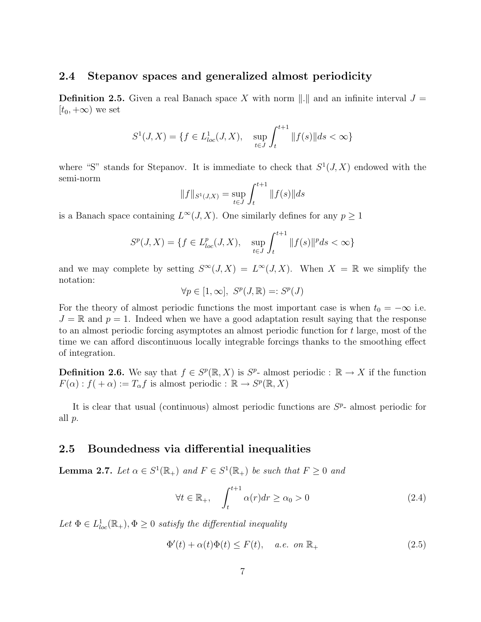## 2.4 Stepanov spaces and generalized almost periodicity

**Definition 2.5.** Given a real Banach space X with norm  $\|.\|$  and an infinite interval  $J =$  $[t_0, +\infty)$  we set

$$
S^{1}(J, X) = \{ f \in L_{loc}^{1}(J, X), \quad \sup_{t \in J} \int_{t}^{t+1} ||f(s)|| ds < \infty \}
$$

where "S" stands for Stepanov. It is immediate to check that  $S^1(J, X)$  endowed with the semi-norm

$$
||f||_{S^1(J,X)} = \sup_{t \in J} \int_t^{t+1} ||f(s)|| ds
$$

is a Banach space containing  $L^{\infty}(J, X)$ . One similarly defines for any  $p \geq 1$ 

$$
S^{p}(J, X) = \{ f \in L_{loc}^{p}(J, X), \quad \sup_{t \in J} \int_{t}^{t+1} ||f(s)||^{p} ds < \infty \}
$$

and we may complete by setting  $S^{\infty}(J, X) = L^{\infty}(J, X)$ . When  $X = \mathbb{R}$  we simplify the notation:

$$
\forall p \in [1,\infty], \ S^p(J,\mathbb{R})=:S^p(J)
$$

For the theory of almost periodic functions the most important case is when  $t_0 = -\infty$  i.e.  $J = \mathbb{R}$  and  $p = 1$ . Indeed when we have a good adaptation result saying that the response to an almost periodic forcing asymptotes an almost periodic function for t large, most of the time we can afford discontinuous locally integrable forcings thanks to the smoothing effect of integration.

**Definition 2.6.** We say that  $f \in S^p(\mathbb{R}, X)$  is  $S^p$ - almost periodic :  $\mathbb{R} \to X$  if the function  $F(\alpha) : f(+\alpha) := T_{\alpha}f$  is almost periodic :  $\mathbb{R} \to S^p(\mathbb{R}, X)$ 

It is clear that usual (continuous) almost periodic functions are  $S<sup>p</sup>$ - almost periodic for all p.

#### 2.5 Boundedness via differential inequalities

**Lemma 2.7.** Let  $\alpha \in S^1(\mathbb{R}_+)$  and  $F \in S^1(\mathbb{R}_+)$  be such that  $F \geq 0$  and

$$
\forall t \in \mathbb{R}_+, \quad \int_{t}^{t+1} \alpha(r) dr \ge \alpha_0 > 0 \tag{2.4}
$$

Let  $\Phi \in L^1_{loc}(\mathbb{R}_+), \Phi \geq 0$  satisfy the differential inequality

$$
\Phi'(t) + \alpha(t)\Phi(t) \le F(t), \quad a.e. \text{ on } \mathbb{R}_+ \tag{2.5}
$$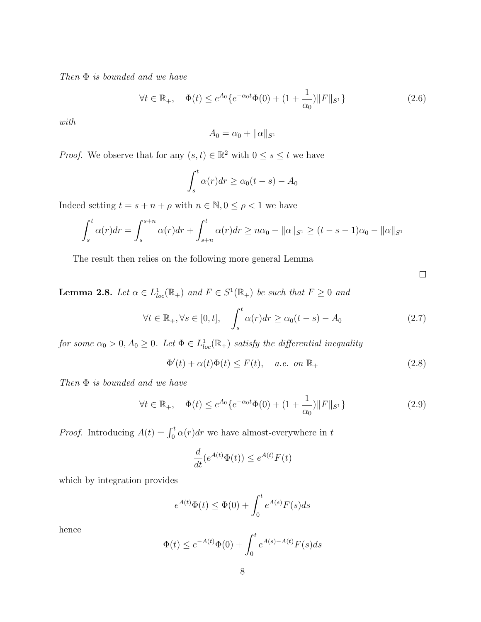Then  $\Phi$  is bounded and we have

$$
\forall t \in \mathbb{R}_+, \quad \Phi(t) \le e^{A_0} \{ e^{-\alpha_0 t} \Phi(0) + (1 + \frac{1}{\alpha_0}) \| F \|_{S^1} \}
$$
\n(2.6)

with

$$
A_0 = \alpha_0 + ||\alpha||_{S^1}
$$

*Proof.* We observe that for any  $(s, t) \in \mathbb{R}^2$  with  $0 \le s \le t$  we have

$$
\int_s^t \alpha(r) dr \ge \alpha_0(t - s) - A_0
$$

Indeed setting  $t = s + n + \rho$  with  $n \in \mathbb{N}, 0 \le \rho < 1$  we have

$$
\int_{s}^{t} \alpha(r) dr = \int_{s}^{s+n} \alpha(r) dr + \int_{s+n}^{t} \alpha(r) dr \geq n\alpha_0 - ||\alpha||_{S^1} \geq (t-s-1)\alpha_0 - ||\alpha||_{S^1}
$$

The result then relies on the following more general Lemma

 $\Box$ 

**Lemma 2.8.** Let  $\alpha \in L^1_{loc}(\mathbb{R}_+)$  and  $F \in S^1(\mathbb{R}_+)$  be such that  $F \geq 0$  and

$$
\forall t \in \mathbb{R}_+, \forall s \in [0, t], \quad \int_s^t \alpha(r) dr \ge \alpha_0(t - s) - A_0 \tag{2.7}
$$

for some  $\alpha_0 > 0$ ,  $A_0 \geq 0$ . Let  $\Phi \in L^1_{loc}(\mathbb{R}_+)$  satisfy the differential inequality

$$
\Phi'(t) + \alpha(t)\Phi(t) \le F(t), \quad a.e. \text{ on } \mathbb{R}_+ \tag{2.8}
$$

Then  $\Phi$  is bounded and we have

$$
\forall t \in \mathbb{R}_+, \quad \Phi(t) \le e^{A_0} \{ e^{-\alpha_0 t} \Phi(0) + (1 + \frac{1}{\alpha_0}) \| F \|_{S^1} \}
$$
\n(2.9)

*Proof.* Introducing  $A(t) = \int_0^t \alpha(r) dr$  we have almost-everywhere in t

$$
\frac{d}{dt}(e^{A(t)}\Phi(t)) \le e^{A(t)}F(t)
$$

which by integration provides

$$
e^{A(t)}\Phi(t) \le \Phi(0) + \int_0^t e^{A(s)}F(s)ds
$$

hence

$$
\Phi(t) \le e^{-A(t)}\Phi(0) + \int_0^t e^{A(s) - A(t)} F(s) ds
$$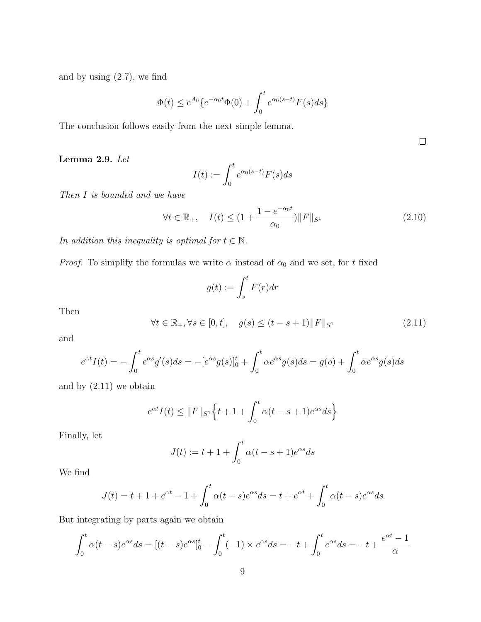and by using  $(2.7)$ , we find

$$
\Phi(t) \le e^{A_0} \{ e^{-\alpha_0 t} \Phi(0) + \int_0^t e^{\alpha_0 (s-t)} F(s) ds \}
$$

The conclusion follows easily from the next simple lemma.

Lemma 2.9. Let

$$
I(t) := \int_0^t e^{\alpha_0(s-t)} F(s) ds
$$

Then I is bounded and we have

$$
\forall t \in \mathbb{R}_+, \quad I(t) \le (1 + \frac{1 - e^{-\alpha_0 t}}{\alpha_0}) \|F\|_{S^1}
$$
\n(2.10)

In addition this inequality is optimal for  $t \in \mathbb{N}$ .

*Proof.* To simplify the formulas we write  $\alpha$  instead of  $\alpha_0$  and we set, for t fixed

$$
g(t) := \int_s^t F(r) dr
$$

Then

$$
\forall t \in \mathbb{R}_+, \forall s \in [0, t], \quad g(s) \le (t - s + 1) \|F\|_{S^1}
$$
 (2.11)

and

$$
e^{\alpha t}I(t) = -\int_0^t e^{\alpha s}g'(s)ds = -[e^{\alpha s}g(s)]_0^t + \int_0^t \alpha e^{\alpha s}g(s)ds = g(o) + \int_0^t \alpha e^{\alpha s}g(s)ds
$$

and by  $(2.11)$  we obtain

$$
e^{\alpha t}I(t) \le ||F||_{S^1}\Big\{t+1+\int_0^t \alpha(t-s+1)e^{\alpha s}ds\Big\}
$$

Finally, let

$$
J(t) := t + 1 + \int_0^t \alpha(t - s + 1)e^{\alpha s} ds
$$

We find

$$
J(t) = t + 1 + e^{\alpha t} - 1 + \int_0^t \alpha(t - s)e^{\alpha s} ds = t + e^{\alpha t} + \int_0^t \alpha(t - s)e^{\alpha s} ds
$$

But integrating by parts again we obtain

$$
\int_0^t \alpha(t-s)e^{\alpha s}ds = [(t-s)e^{\alpha s}]_0^t - \int_0^t (-1) \times e^{\alpha s}ds = -t + \int_0^t e^{\alpha s}ds = -t + \frac{e^{\alpha t} - 1}{\alpha}
$$

 $\Box$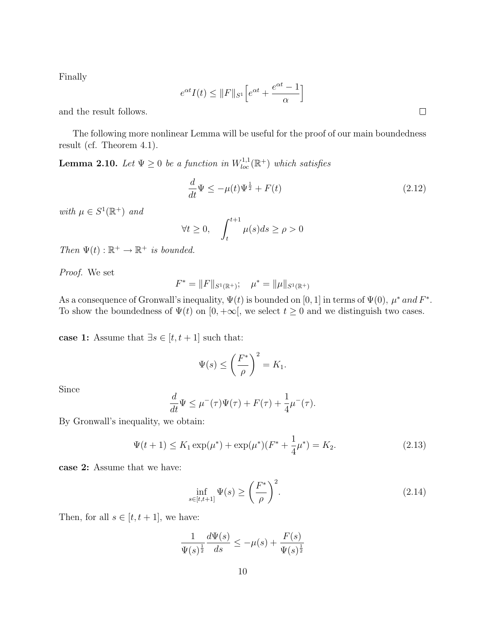Finally

$$
e^{\alpha t}I(t) \le ||F||_{S^1} \Big[ e^{\alpha t} + \frac{e^{\alpha t} - 1}{\alpha} \Big]
$$

and the result follows.

The following more nonlinear Lemma will be useful for the proof of our main boundedness result (cf. Theorem 4.1).

**Lemma 2.10.** Let  $\Psi \ge 0$  be a function in  $W^{1,1}_{loc}(\mathbb{R}^+)$  which satisfies

$$
\frac{d}{dt}\Psi \le -\mu(t)\Psi^{\frac{1}{2}} + F(t) \tag{2.12}
$$

with  $\mu \in S^1(\mathbb{R}^+)$  and

$$
\forall t \ge 0, \quad \int_{t}^{t+1} \mu(s)ds \ge \rho > 0
$$

Then  $\Psi(t): \mathbb{R}^+ \to \mathbb{R}^+$  is bounded.

Proof. We set

$$
F^* = ||F||_{S^1(\mathbb{R}^+)}; \quad \mu^* = ||\mu||_{S^1(\mathbb{R}^+)}
$$

As a consequence of Gronwall's inequality,  $\Psi(t)$  is bounded on [0, 1] in terms of  $\Psi(0)$ ,  $\mu^*$  and  $F^*$ . To show the boundedness of  $\Psi(t)$  on  $[0, +\infty]$ , we select  $t \geq 0$  and we distinguish two cases.

case 1: Assume that  $\exists s \in [t,t+1]$  such that:

$$
\Psi(s) \le \left(\frac{F^*}{\rho}\right)^2 = K_1.
$$

Since

$$
\frac{d}{dt}\Psi \leq \mu^-(\tau)\Psi(\tau) + F(\tau) + \frac{1}{4}\mu^-(\tau).
$$

By Gronwall's inequality, we obtain:

$$
\Psi(t+1) \le K_1 \exp(\mu^*) + \exp(\mu^*)(F^* + \frac{1}{4}\mu^*) = K_2.
$$
\n(2.13)

case 2: Assume that we have:

$$
\inf_{s \in [t,t+1]} \Psi(s) \ge \left(\frac{F^*}{\rho}\right)^2. \tag{2.14}
$$

Then, for all  $s \in [t, t + 1]$ , we have:

$$
\frac{1}{\Psi(s)^{\frac{1}{2}}} \frac{d\Psi(s)}{ds} \le -\mu(s) + \frac{F(s)}{\Psi(s)^{\frac{1}{2}}}
$$

 $\Box$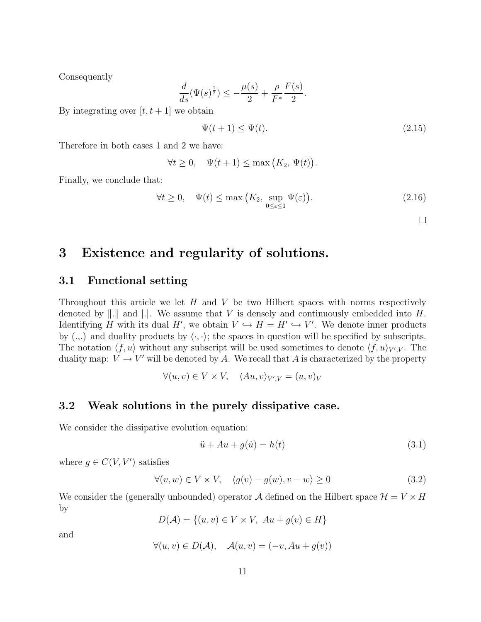Consequently

$$
\frac{d}{ds} (\Psi(s)^{\frac{1}{2}}) \leq -\frac{\mu(s)}{2} + \frac{\rho}{F^*} \frac{F(s)}{2}.
$$

By integrating over  $[t, t + 1]$  we obtain

$$
\Psi(t+1) \le \Psi(t). \tag{2.15}
$$

Therefore in both cases 1 and 2 we have:

$$
\forall t \ge 0, \quad \Psi(t+1) \le \max(K_2, \Psi(t)).
$$

Finally, we conclude that:

$$
\forall t \ge 0, \quad \Psi(t) \le \max\left(K_2, \sup_{0 \le \varepsilon \le 1} \Psi(\varepsilon)\right). \tag{2.16}
$$

 $\Box$ 

# 3 Existence and regularity of solutions.

#### 3.1 Functional setting

Throughout this article we let  $H$  and  $V$  be two Hilbert spaces with norms respectively denoted by  $\|.\|$  and  $\|.\|$ . We assume that V is densely and continuously embedded into H. Identifying H with its dual H', we obtain  $V \hookrightarrow H = H' \hookrightarrow V'$ . We denote inner products by  $(.,.)$  and duality products by  $\langle \cdot, \cdot \rangle$ ; the spaces in question will be specified by subscripts. The notation  $\langle f, u \rangle$  without any subscript will be used sometimes to denote  $\langle f, u \rangle_{V', V}$ . The duality map:  $V \to V'$  will be denoted by A. We recall that A is characterized by the property

$$
\forall (u, v) \in V \times V, \quad \langle Au, v \rangle_{V', V} = (u, v)_V
$$

#### 3.2 Weak solutions in the purely dissipative case.

We consider the dissipative evolution equation:

$$
\ddot{u} + Au + g(\dot{u}) = h(t) \tag{3.1}
$$

where  $g \in C(V, V')$  satisfies

$$
\forall (v, w) \in V \times V, \quad \langle g(v) - g(w), v - w \rangle \ge 0 \tag{3.2}
$$

We consider the (generally unbounded) operator A defined on the Hilbert space  $\mathcal{H} = V \times H$ by

$$
D(\mathcal{A}) = \{(u, v) \in V \times V, Au + g(v) \in H\}
$$

and

$$
\forall (u, v) \in D(\mathcal{A}), \quad \mathcal{A}(u, v) = (-v, Au + g(v))
$$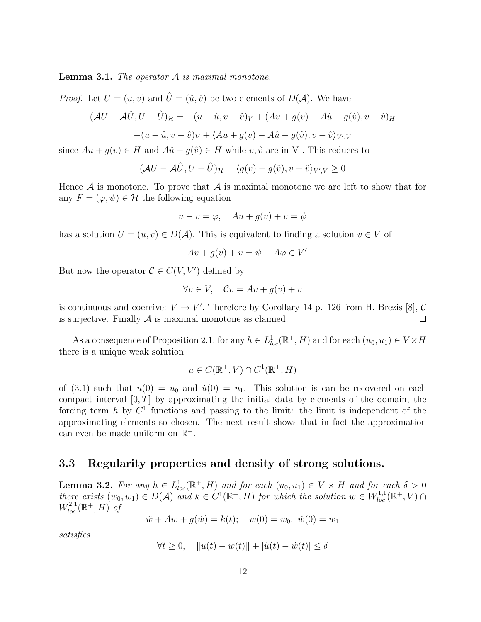**Lemma 3.1.** The operator  $A$  is maximal monotone.

*Proof.* Let  $U = (u, v)$  and  $\hat{U} = (\hat{u}, \hat{v})$  be two elements of  $D(\mathcal{A})$ . We have

$$
(\mathcal{A}U - \mathcal{A}\hat{U}, U - \hat{U})_{\mathcal{H}} = -(u - \hat{u}, v - \hat{v})_{V} + (Au + g(v) - A\hat{u} - g(\hat{v}), v - \hat{v})_{H}
$$

$$
-(u - \hat{u}, v - \hat{v})_{V} + \langle Au + g(v) - A\hat{u} - g(\hat{v}), v - \hat{v} \rangle_{V', V}
$$

since  $Au + g(v) \in H$  and  $A\hat{u} + g(\hat{v}) \in H$  while  $v, \hat{v}$  are in V. This reduces to

$$
(\mathcal{A}U - \mathcal{A}\hat{U}, U - \hat{U})_{\mathcal{H}} = \langle g(v) - g(\hat{v}), v - \hat{v} \rangle_{V', V} \ge 0
$$

Hence  $A$  is monotone. To prove that  $A$  is maximal monotone we are left to show that for any  $F = (\varphi, \psi) \in \mathcal{H}$  the following equation

$$
u - v = \varphi, \quad Au + g(v) + v = \psi
$$

has a solution  $U = (u, v) \in D(\mathcal{A})$ . This is equivalent to finding a solution  $v \in V$  of

$$
Av + g(v) + v = \psi - A\varphi \in V'
$$

But now the operator  $C \in C(V, V')$  defined by

$$
\forall v \in V, \quad \mathcal{C}v = Av + g(v) + v
$$

is continuous and coercive:  $V \to V'$ . Therefore by Corollary 14 p. 126 from H. Brezis [8], C is surjective. Finally  $A$  is maximal monotone as claimed.  $\Box$ 

As a consequence of Proposition 2.1, for any  $h \in L^1_{loc}(\mathbb{R}^+, H)$  and for each  $(u_0, u_1) \in V \times H$ there is a unique weak solution

$$
u \in C(\mathbb{R}^+, V) \cap C^1(\mathbb{R}^+, H)
$$

of (3.1) such that  $u(0) = u_0$  and  $\dot{u}(0) = u_1$ . This solution is can be recovered on each compact interval  $[0, T]$  by approximating the initial data by elements of the domain, the forcing term h by  $C^1$  functions and passing to the limit: the limit is independent of the approximating elements so chosen. The next result shows that in fact the approximation can even be made uniform on  $\mathbb{R}^+$ .

#### 3.3 Regularity properties and density of strong solutions.

**Lemma 3.2.** For any  $h \in L^1_{loc}(\mathbb{R}^+, H)$  and for each  $(u_0, u_1) \in V \times H$  and for each  $\delta > 0$ there exists  $(w_0, w_1) \in D(\mathcal{A})$  and  $k \in C^1(\mathbb{R}^+, H)$  for which the solution  $w \in W^{1,1}_{loc}(\mathbb{R}^+, V)$  $W^{2,1}_{loc}(\mathbb{R}^+,H)$  of

$$
\ddot{w} + Aw + g(\dot{w}) = k(t); \quad w(0) = w_0, \ \dot{w}(0) = w_1
$$

satisfies

$$
\forall t \ge 0, \quad \|u(t) - w(t)\| + |\dot{u}(t) - \dot{w}(t)| \le \delta
$$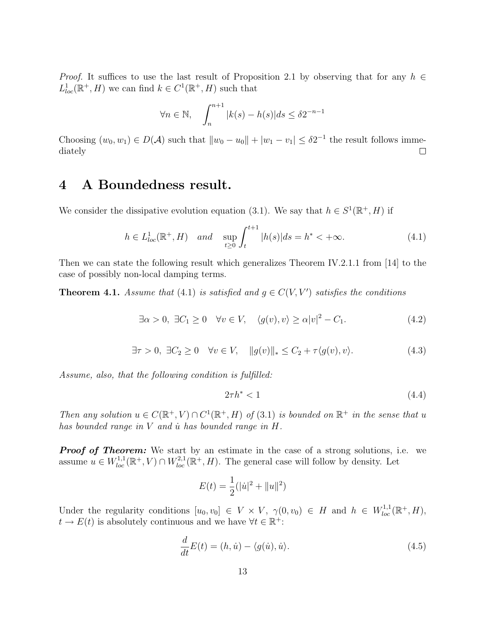*Proof.* It suffices to use the last result of Proposition 2.1 by observing that for any  $h \in$  $L^1_{loc}(\mathbb{R}^+, H)$  we can find  $k \in C^1(\mathbb{R}^+, H)$  such that

$$
\forall n \in \mathbb{N}, \quad \int_{n}^{n+1} |k(s) - h(s)| ds \le \delta 2^{-n-1}
$$

Choosing  $(w_0, w_1) \in D(\mathcal{A})$  such that  $||w_0 - u_0|| + |w_1 - v_1| \leq \delta 2^{-1}$  the result follows imme- $\Box$ diately

# 4 A Boundedness result.

We consider the dissipative evolution equation (3.1). We say that  $h \in S^1(\mathbb{R}^+, H)$  if

$$
h \in L_{loc}^{1}(\mathbb{R}^{+}, H) \quad and \quad \sup_{t \ge 0} \int_{t}^{t+1} |h(s)| ds = h^{*} < +\infty.
$$
 (4.1)

Then we can state the following result which generalizes Theorem IV.2.1.1 from [14] to the case of possibly non-local damping terms.

**Theorem 4.1.** Assume that (4.1) is satisfied and  $g \in C(V, V')$  satisfies the conditions

$$
\exists \alpha > 0, \ \exists C_1 \ge 0 \quad \forall v \in V, \quad \langle g(v), v \rangle \ge \alpha |v|^2 - C_1. \tag{4.2}
$$

$$
\exists \tau > 0, \ \exists C_2 \ge 0 \quad \forall v \in V, \quad \|g(v)\|_{*} \le C_2 + \tau \langle g(v), v \rangle. \tag{4.3}
$$

Assume, also, that the following condition is fulfilled:

$$
2\tau h^* < 1\tag{4.4}
$$

Then any solution  $u \in C(\mathbb{R}^+, V) \cap C^1(\mathbb{R}^+, H)$  of (3.1) is bounded on  $\mathbb{R}^+$  in the sense that u has bounded range in  $V$  and  $\dot{u}$  has bounded range in  $H$ .

**Proof of Theorem:** We start by an estimate in the case of a strong solutions, i.e. we assume  $u \in W_{loc}^{1,1}(\mathbb{R}^+, V) \cap W_{loc}^{2,1}(\mathbb{R}^+, H)$ . The general case will follow by density. Let

$$
E(t) = \frac{1}{2} (|\dot{u}|^2 + ||u||^2)
$$

Under the regularity conditions  $[u_0, v_0] \in V \times V$ ,  $\gamma(0, v_0) \in H$  and  $h \in W_{loc}^{1,1}(\mathbb{R}^+, H)$ ,  $t \to E(t)$  is absolutely continuous and we have  $\forall t \in \mathbb{R}^+$ :

$$
\frac{d}{dt}E(t) = (h, \dot{u}) - \langle g(\dot{u}), \dot{u} \rangle.
$$
\n(4.5)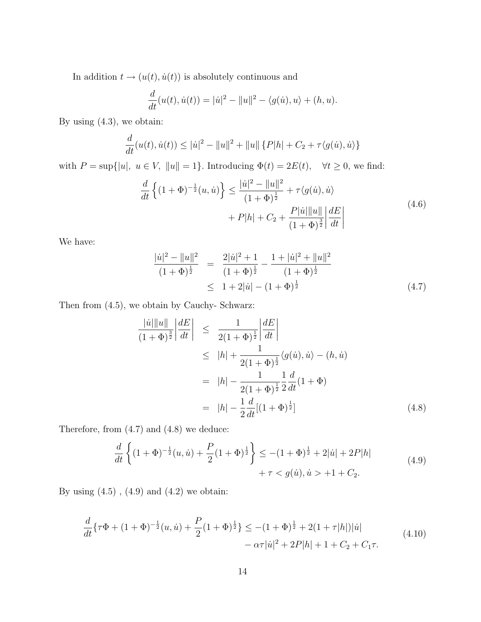In addition  $t\rightarrow (u(t),\dot{u}(t))$  is absolutely continuous and

$$
\frac{d}{dt}(u(t), \dot{u}(t)) = |\dot{u}|^2 - ||u||^2 - \langle g(\dot{u}), u \rangle + (h, u).
$$

By using (4.3), we obtain:

$$
\frac{d}{dt}(u(t), \dot{u}(t)) \le |\dot{u}|^2 - ||u||^2 + ||u|| \{P|h| + C_2 + \tau \langle g(\dot{u}), \dot{u} \rangle\}
$$

with  $P = \sup\{|u|, u \in V, ||u|| = 1\}$ . Introducing  $\Phi(t) = 2E(t)$ ,  $\forall t \ge 0$ , we find:

$$
\frac{d}{dt}\left\{(1+\Phi)^{-\frac{1}{2}}(u,\dot{u})\right\} \le \frac{|\dot{u}|^2 - \|u\|^2}{(1+\Phi)^{\frac{1}{2}}} + \tau\langle g(\dot{u}), \dot{u}\rangle \n+ P|h| + C_2 + \frac{P|\dot{u}|\|u\|}{(1+\Phi)^{\frac{3}{2}}}\left|\frac{dE}{dt}\right|
$$
\n(4.6)

We have:

$$
\frac{|u|^2 - ||u||^2}{(1 + \Phi)^{\frac{1}{2}}} = \frac{2|u|^2 + 1}{(1 + \Phi)^{\frac{1}{2}}} - \frac{1 + |u|^2 + ||u||^2}{(1 + \Phi)^{\frac{1}{2}}}
$$
  

$$
\leq 1 + 2|u| - (1 + \Phi)^{\frac{1}{2}}
$$
(4.7)

Then from (4.5), we obtain by Cauchy- Schwarz:

$$
\frac{|u||u||}{(1+\Phi)^{\frac{3}{2}}} \left| \frac{dE}{dt} \right| \leq \frac{1}{2(1+\Phi)^{\frac{1}{2}}} \left| \frac{dE}{dt} \right|
$$
  
\n
$$
\leq |h| + \frac{1}{2(1+\Phi)^{\frac{1}{2}}} \langle g(\dot{u}), \dot{u} \rangle - (h, \dot{u})
$$
  
\n
$$
= |h| - \frac{1}{2(1+\Phi)^{\frac{1}{2}}} \frac{1}{2} \frac{d}{dt} (1+\Phi)
$$
  
\n
$$
= |h| - \frac{1}{2} \frac{d}{dt} [(1+\Phi)^{\frac{1}{2}}]
$$
(4.8)

Therefore, from (4.7) and (4.8) we deduce:

$$
\frac{d}{dt}\left\{(1+\Phi)^{-\frac{1}{2}}(u,\dot{u})+\frac{P}{2}(1+\Phi)^{\frac{1}{2}}\right\} \le -(1+\Phi)^{\frac{1}{2}}+2|\dot{u}|+2P|h|
$$
\n
$$
+\tau < g(\dot{u}), \dot{u} > +1+C_2.
$$
\n(4.9)

By using  $(4.5)$ ,  $(4.9)$  and  $(4.2)$  we obtain:

$$
\frac{d}{dt}\left\{\tau\Phi + (1+\Phi)^{-\frac{1}{2}}(u,\dot{u}) + \frac{P}{2}(1+\Phi)^{\frac{1}{2}}\right\} \le -(1+\Phi)^{\frac{1}{2}} + 2(1+\tau|h|)|\dot{u}|
$$
\n
$$
-\alpha\tau|\dot{u}|^2 + 2P|h| + 1 + C_2 + C_1\tau.
$$
\n(4.10)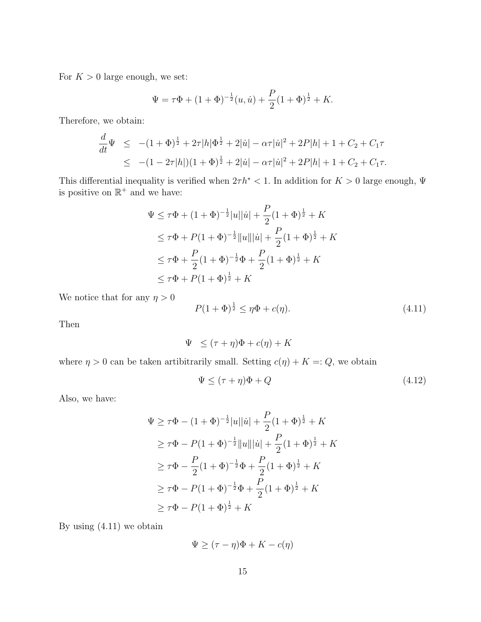For  $K > 0$  large enough, we set:

$$
\Psi = \tau \Phi + (1 + \Phi)^{-\frac{1}{2}}(u, \dot{u}) + \frac{P}{2}(1 + \Phi)^{\frac{1}{2}} + K.
$$

Therefore, we obtain:

$$
\frac{d}{dt}\Psi \le -(1+\Phi)^{\frac{1}{2}} + 2\tau |h|\Phi^{\frac{1}{2}} + 2|\dot{u}| - \alpha \tau |\dot{u}|^2 + 2P|h| + 1 + C_2 + C_1\tau
$$
  
\n
$$
\le -(1-2\tau|h|)(1+\Phi)^{\frac{1}{2}} + 2|\dot{u}| - \alpha \tau |\dot{u}|^2 + 2P|h| + 1 + C_2 + C_1\tau.
$$

This differential inequality is verified when  $2\tau h^* < 1$ . In addition for  $K > 0$  large enough,  $\Psi$ is positive on  $\mathbb{R}^+$  and we have:

$$
\Psi \leq \tau \Phi + (1 + \Phi)^{-\frac{1}{2}}|u||\dot{u}| + \frac{P}{2}(1 + \Phi)^{\frac{1}{2}} + K
$$
  
\n
$$
\leq \tau \Phi + P(1 + \Phi)^{-\frac{1}{2}}\|u\| |\dot{u}| + \frac{P}{2}(1 + \Phi)^{\frac{1}{2}} + K
$$
  
\n
$$
\leq \tau \Phi + \frac{P}{2}(1 + \Phi)^{-\frac{1}{2}}\Phi + \frac{P}{2}(1 + \Phi)^{\frac{1}{2}} + K
$$
  
\n
$$
\leq \tau \Phi + P(1 + \Phi)^{\frac{1}{2}} + K
$$

We notice that for any  $\eta > 0$ 

$$
P(1+\Phi)^{\frac{1}{2}} \le \eta \Phi + c(\eta). \tag{4.11}
$$

Then

$$
\Psi \leq (\tau + \eta)\Phi + c(\eta) + K
$$

where  $\eta > 0$  can be taken artibitrarily small. Setting  $c(\eta) + K =: Q$ , we obtain

$$
\Psi \le (\tau + \eta)\Phi + Q \tag{4.12}
$$

Also, we have:

$$
\Psi \ge \tau \Phi - (1 + \Phi)^{-\frac{1}{2}}|u||\dot{u}| + \frac{P}{2}(1 + \Phi)^{\frac{1}{2}} + K
$$
  
\n
$$
\ge \tau \Phi - P(1 + \Phi)^{-\frac{1}{2}}\|u\| |\dot{u}| + \frac{P}{2}(1 + \Phi)^{\frac{1}{2}} + K
$$
  
\n
$$
\ge \tau \Phi - \frac{P}{2}(1 + \Phi)^{-\frac{1}{2}}\Phi + \frac{P}{2}(1 + \Phi)^{\frac{1}{2}} + K
$$
  
\n
$$
\ge \tau \Phi - P(1 + \Phi)^{-\frac{1}{2}}\Phi + \frac{P}{2}(1 + \Phi)^{\frac{1}{2}} + K
$$
  
\n
$$
\ge \tau \Phi - P(1 + \Phi)^{\frac{1}{2}} + K
$$

By using (4.11) we obtain

$$
\Psi \geq (\tau - \eta)\Phi + K - c(\eta)
$$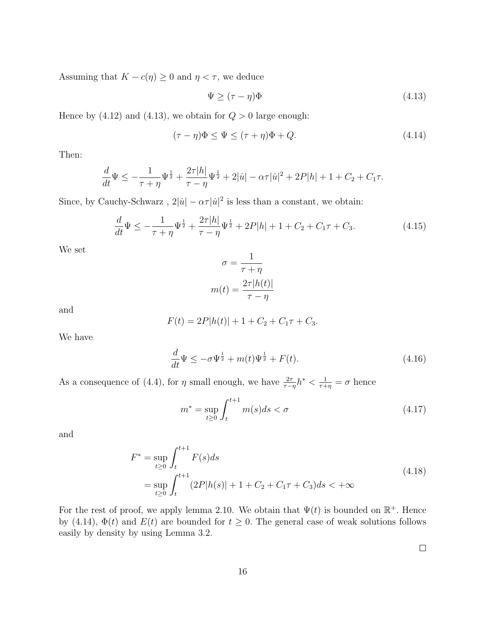Assuming that  $K - c(\eta) \geq 0$  and  $\eta < \tau$ , we deduce

$$
\Psi \ge (\tau - \eta)\Phi \tag{4.13}
$$

Hence by (4.12) and (4.13), we obtain for  $Q > 0$  large enough:

$$
(\tau - \eta)\Phi \le \Psi \le (\tau + \eta)\Phi + Q. \tag{4.14}
$$

Then:

$$
\frac{d}{dt}\Psi \le -\frac{1}{\tau + \eta}\Psi^{\frac{1}{2}} + \frac{2\tau|h|}{\tau - \eta}\Psi^{\frac{1}{2}} + 2|\dot{u}| - \alpha\tau|\dot{u}|^2 + 2P|h| + 1 + C_2 + C_1\tau.
$$

Since, by Cauchy-Schwarz,  $2|\dot{u}| - \alpha \tau |\dot{u}|^2$  is less than a constant, we obtain:

$$
\frac{d}{dt}\Psi \le -\frac{1}{\tau + \eta}\Psi^{\frac{1}{2}} + \frac{2\tau|h|}{\tau - \eta}\Psi^{\frac{1}{2}} + 2P|h| + 1 + C_2 + C_1\tau + C_3.
$$
\n(4.15)

We set

$$
\sigma = \frac{1}{\tau + \eta}
$$

$$
m(t) = \frac{2\tau |h(t)|}{\tau - \eta}
$$

and

$$
F(t) = 2P|h(t)| + 1 + C_2 + C_1\tau + C_3.
$$

We have

$$
\frac{d}{dt}\Psi \le -\sigma \Psi^{\frac{1}{2}} + m(t)\Psi^{\frac{1}{2}} + F(t). \tag{4.16}
$$

As a consequence of (4.4), for  $\eta$  small enough, we have  $\frac{2\tau}{\tau-\eta}h^* < \frac{1}{\tau+\eta} = \sigma$  hence

$$
m^* = \sup_{t \ge 0} \int_t^{t+1} m(s)ds < \sigma \tag{4.17}
$$

and

$$
F^* = \sup_{t \ge 0} \int_t^{t+1} F(s)ds
$$
  
= 
$$
\sup_{t \ge 0} \int_t^{t+1} (2P|h(s)| + 1 + C_2 + C_1\tau + C_3)ds < +\infty
$$
 (4.18)

For the rest of proof, we apply lemma 2.10. We obtain that  $\Psi(t)$  is bounded on  $\mathbb{R}^+$ . Hence by (4.14),  $\Phi(t)$  and  $E(t)$  are bounded for  $t \geq 0$ . The general case of weak solutions follows easily by density by using Lemma 3.2.

 $\Box$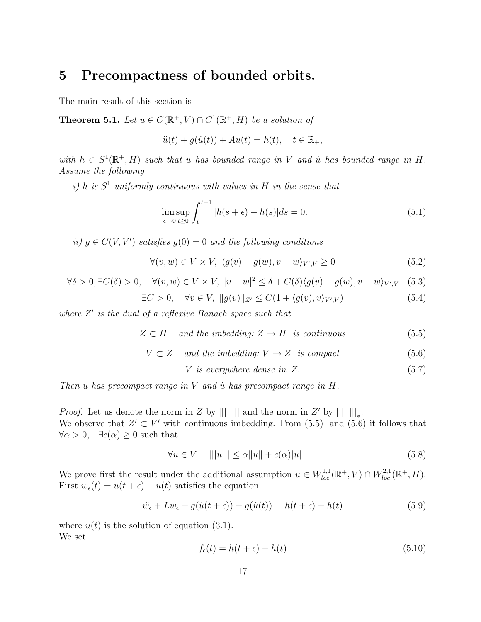# 5 Precompactness of bounded orbits.

The main result of this section is

**Theorem 5.1.** Let  $u \in C(\mathbb{R}^+, V) \cap C^1(\mathbb{R}^+, H)$  be a solution of

$$
\ddot{u}(t) + g(\dot{u}(t)) + Au(t) = h(t), \quad t \in \mathbb{R}_+,
$$

with  $h \in S^1(\mathbb{R}^+, H)$  such that u has bounded range in V and u has bounded range in H. Assume the following

i) h is  $S^1$ -uniformly continuous with values in H in the sense that

$$
\limsup_{\epsilon \to 0} \int_{t}^{t+1} |h(s+\epsilon) - h(s)| ds = 0.
$$
\n(5.1)

ii)  $g \in C(V, V')$  satisfies  $g(0) = 0$  and the following conditions

$$
\forall (v, w) \in V \times V, \ \langle g(v) - g(w), v - w \rangle_{V', V} \ge 0 \tag{5.2}
$$

$$
\forall \delta > 0, \exists C(\delta) > 0, \quad \forall (v, w) \in V \times V, \ |v - w|^2 \le \delta + C(\delta) \langle g(v) - g(w), v - w \rangle_{V', V} \tag{5.3}
$$

$$
\exists C > 0, \quad \forall v \in V, \ \|g(v)\|_{Z'} \le C(1 + \langle g(v), v \rangle_{V', V}) \tag{5.4}
$$

where  $Z'$  is the dual of a reflexive Banach space such that

$$
Z \subset H \quad and \ the \ imbedding: Z \to H \text{ is continuous} \tag{5.5}
$$

$$
V \subset Z \quad and \ the \ imbedding: V \to Z \text{ is compact} \tag{5.6}
$$

$$
V \t{is everywhere dense in } Z. \t(5.7)
$$

Then u has precompact range in  $V$  and  $\dot{u}$  has precompact range in  $H$ .

*Proof.* Let us denote the norm in Z by  $\| \|\|$  and the norm in Z' by  $\| \|\|_*$ . We observe that  $Z' \subset V'$  with continuous imbedding. From (5.5) and (5.6) it follows that  $\forall \alpha > 0, \quad \exists c(\alpha) \geq 0 \text{ such that}$ 

$$
\forall u \in V, \quad |||u||| \le \alpha ||u|| + c(\alpha)|u| \tag{5.8}
$$

We prove first the result under the additional assumption  $u \in W_{loc}^{1,1}(\mathbb{R}^+, V) \cap W_{loc}^{2,1}(\mathbb{R}^+, H)$ . First  $w_{\epsilon}(t) = u(t + \epsilon) - u(t)$  satisfies the equation:

$$
\ddot{w}_{\epsilon} + Lw_{\epsilon} + g(\dot{u}(t + \epsilon)) - g(\dot{u}(t)) = h(t + \epsilon) - h(t)
$$
\n(5.9)

where  $u(t)$  is the solution of equation (3.1). We set

$$
f_{\epsilon}(t) = h(t + \epsilon) - h(t) \tag{5.10}
$$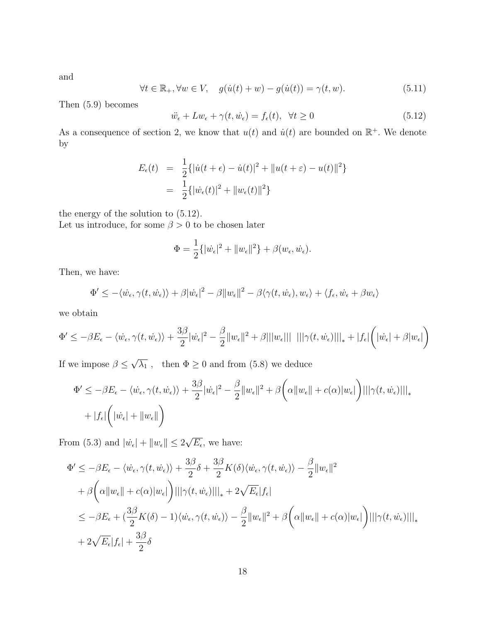and

$$
\forall t \in \mathbb{R}_+, \forall w \in V, \quad g(\dot{u}(t) + w) - g(\dot{u}(t)) = \gamma(t, w). \tag{5.11}
$$

Then (5.9) becomes

$$
\ddot{w}_{\epsilon} + Lw_{\epsilon} + \gamma(t, \dot{w}_{\epsilon}) = f_{\epsilon}(t), \ \forall t \ge 0 \tag{5.12}
$$

As a consequence of section 2, we know that  $u(t)$  and  $\dot{u}(t)$  are bounded on  $\mathbb{R}^+$ . We denote by

$$
E_{\epsilon}(t) = \frac{1}{2} \{ |\dot{u}(t + \epsilon) - \dot{u}(t)|^2 + ||u(t + \epsilon) - u(t)||^2 \}
$$
  
= 
$$
\frac{1}{2} \{ |\dot{w}_{\epsilon}(t)|^2 + ||w_{\epsilon}(t)||^2 \}
$$

the energy of the solution to (5.12).

Let us introduce, for some  $\beta > 0$  to be chosen later

$$
\Phi = \frac{1}{2} \{ |\dot{w}_{\epsilon}|^2 + ||w_{\epsilon}||^2 \} + \beta(w_{\epsilon}, \dot{w}_{\epsilon}).
$$

Then, we have:

$$
\Phi' \leq -\langle \dot{w}_{\epsilon}, \gamma(t, \dot{w}_{\epsilon}) \rangle + \beta |\dot{w}_{\epsilon}|^2 - \beta \|w_{\epsilon}\|^2 - \beta \langle \gamma(t, \dot{w}_{\epsilon}), w_{\epsilon} \rangle + \langle f_{\epsilon}, \dot{w}_{\epsilon} + \beta w_{\epsilon} \rangle
$$

we obtain

$$
\Phi' \leq -\beta E_{\epsilon} - \langle \dot{w_{\epsilon}}, \gamma(t, \dot{w_{\epsilon}}) \rangle + \frac{3\beta}{2} |\dot{w_{\epsilon}}|^2 - \frac{\beta}{2} ||w_{\epsilon}||^2 + \beta |||w_{\epsilon}||| \ |||\gamma(t, \dot{w_{\epsilon}})|||_* + |f_{\epsilon}| \bigg(|\dot{w_{\epsilon}}| + \beta |w_{\epsilon}|\bigg)
$$

If we impose  $\beta \leq$ √  $\overline{\lambda_1}$ , then  $\Phi \geq 0$  and from (5.8) we deduce

$$
\Phi' \le -\beta E_{\epsilon} - \langle \dot{w}_{\epsilon}, \gamma(t, \dot{w}_{\epsilon}) \rangle + \frac{3\beta}{2} |\dot{w}_{\epsilon}|^2 - \frac{\beta}{2} ||w_{\epsilon}||^2 + \beta \bigg( \alpha ||w_{\epsilon}|| + c(\alpha) |w_{\epsilon}|\bigg) |||\gamma(t, \dot{w}_{\epsilon})|||_{*} + |f_{\epsilon}| \bigg( |\dot{w}_{\epsilon}| + ||w_{\epsilon}|| \bigg)
$$

From (5.3) and  $|\dot{w}_{\epsilon}| + ||w_{\epsilon}|| \leq 2$ √  $\overline{E_{\epsilon}}$ , we have:

$$
\Phi' \le -\beta E_{\epsilon} - \langle \dot{w}_{\epsilon}, \gamma(t, \dot{w}_{\epsilon}) \rangle + \frac{3\beta}{2}\delta + \frac{3\beta}{2}K(\delta)\langle \dot{w}_{\epsilon}, \gamma(t, \dot{w}_{\epsilon}) \rangle - \frac{\beta}{2}||w_{\epsilon}||^{2} \n+ \beta \bigg(\alpha||w_{\epsilon}|| + c(\alpha)|w_{\epsilon}|\bigg) |||\gamma(t, \dot{w}_{\epsilon})|||_{*} + 2\sqrt{E_{\epsilon}}|f_{\epsilon}| \n\le -\beta E_{\epsilon} + (\frac{3\beta}{2}K(\delta) - 1)\langle \dot{w}_{\epsilon}, \gamma(t, \dot{w}_{\epsilon}) \rangle - \frac{\beta}{2}||w_{\epsilon}||^{2} + \beta \bigg(\alpha||w_{\epsilon}|| + c(\alpha)|w_{\epsilon}|\bigg) |||\gamma(t, \dot{w}_{\epsilon})|||_{*} \n+ 2\sqrt{E_{\epsilon}}|f_{\epsilon}| + \frac{3\beta}{2}\delta
$$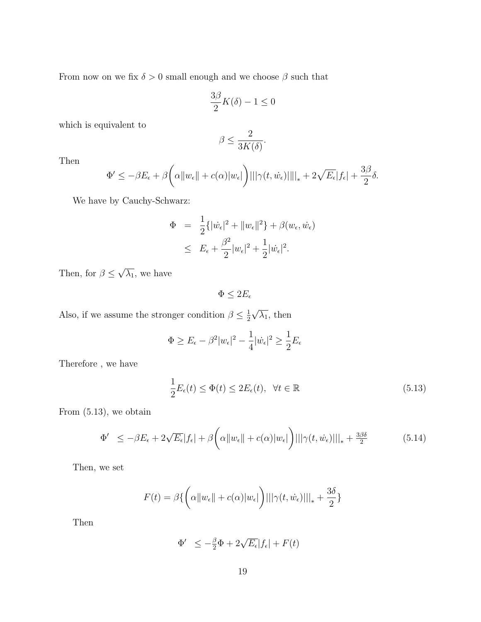From now on we fix  $\delta > 0$  small enough and we choose  $\beta$  such that

$$
\frac{3\beta}{2}K(\delta) - 1 \le 0
$$

which is equivalent to

$$
\beta \leq \frac{2}{3K(\delta)}.
$$

Then

$$
\Phi' \le -\beta E_{\epsilon} + \beta \bigg(\alpha \|w_{\epsilon}\| + c(\alpha) |w_{\epsilon}|\bigg) |||\gamma(t, \dot{w}_{\epsilon})| |||_* + 2\sqrt{E_{\epsilon}}|f_{\epsilon}| + \frac{3\beta}{2}\delta.
$$

We have by Cauchy-Schwarz:

$$
\Phi = \frac{1}{2} \{ |\dot{w}_{\epsilon}|^2 + ||w_{\epsilon}||^2 \} + \beta(w_{\epsilon}, \dot{w}_{\epsilon})
$$
  

$$
\leq E_{\epsilon} + \frac{\beta^2}{2} |w_{\epsilon}|^2 + \frac{1}{2} |\dot{w}_{\epsilon}|^2.
$$

Then, for  $\beta \leq$ √  $\overline{\lambda_1}$ , we have

 $\Phi \leq 2 E_\epsilon$ 

Also, if we assume the stronger condition  $\beta \leq \frac{1}{2}$ 2 √  $\overline{\lambda_1}$ , then

$$
\Phi \ge E_{\epsilon} - \beta^2 |w_{\epsilon}|^2 - \frac{1}{4} |\dot{w}_{\epsilon}|^2 \ge \frac{1}{2} E_{\epsilon}
$$

Therefore , we have

$$
\frac{1}{2}E_{\epsilon}(t) \le \Phi(t) \le 2E_{\epsilon}(t), \quad \forall t \in \mathbb{R}
$$
\n(5.13)

From (5.13), we obtain

$$
\Phi' \le -\beta E_{\epsilon} + 2\sqrt{E_{\epsilon}}|f_{\epsilon}| + \beta \bigg(\alpha \|w_{\epsilon}\| + c(\alpha)|w_{\epsilon}|\bigg) ||\gamma(t, \dot{w}_{\epsilon})|||_{*} + \frac{3\beta\delta}{2} \tag{5.14}
$$

Then, we set

$$
F(t) = \beta \{ \left( \alpha ||w_{\epsilon}|| + c(\alpha) |w_{\epsilon}| \right) |||\gamma(t, \dot{w}_{\epsilon})|||_{*} + \frac{3\delta}{2} \}
$$

Then

$$
\Phi' \le -\frac{\beta}{2}\Phi + 2\sqrt{E_{\epsilon}}|f_{\epsilon}| + F(t)
$$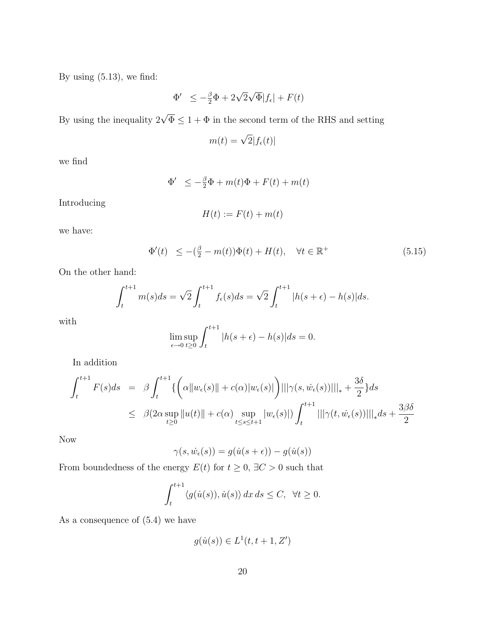By using  $(5.13)$ , we find:

$$
\Phi' \le -\frac{\beta}{2}\Phi + 2\sqrt{2}\sqrt{\Phi}|f_{\epsilon}| + F(t)
$$

By using the inequality  $2\sqrt{\Phi} \leq 1 + \Phi$  in the second term of the RHS and setting

$$
m(t) = \sqrt{2}|f_{\epsilon}(t)|
$$

we find

$$
\Phi' \le -\frac{\beta}{2}\Phi + m(t)\Phi + F(t) + m(t)
$$

Introducing

$$
H(t) := F(t) + m(t)
$$

we have:

$$
\Phi'(t) \le -(\frac{\beta}{2} - m(t))\Phi(t) + H(t), \quad \forall t \in \mathbb{R}^+ \tag{5.15}
$$

On the other hand:

$$
\int_{t}^{t+1} m(s)ds = \sqrt{2} \int_{t}^{t+1} f_{\epsilon}(s)ds = \sqrt{2} \int_{t}^{t+1} |h(s+\epsilon) - h(s)|ds.
$$

with

$$
\limsup_{\epsilon \to 0} \int_{t}^{t+1} |h(s+\epsilon) - h(s)| ds = 0.
$$

In addition

$$
\int_{t}^{t+1} F(s)ds = \beta \int_{t}^{t+1} \left\{ \left( \alpha \|w_{\epsilon}(s)\| + c(\alpha) |w_{\epsilon}(s)| \right) |||\gamma(s, \dot{w}_{\epsilon}(s))|||_{*} + \frac{3\delta}{2} \right\} ds
$$
  

$$
\leq \beta (2\alpha \sup_{t \geq 0} \|u(t)\| + c(\alpha) \sup_{t \leq s \leq t+1} |w_{\epsilon}(s)|) \int_{t}^{t+1} |||\gamma(t, \dot{w}_{\epsilon}(s))|||_{*} ds + \frac{3\beta\delta}{2}
$$

Now

$$
\gamma(s, \dot{w}_{\epsilon}(s)) = g(\dot{u}(s + \epsilon)) - g(\dot{u}(s))
$$

From boundedness of the energy  $E(t)$  for  $t\geq 0,$   $\exists C>0$  such that

$$
\int_{t}^{t+1} \langle g(\dot{u}(s)), \dot{u}(s) \rangle \, dx \, ds \le C, \ \ \forall t \ge 0.
$$

As a consequence of (5.4) we have

$$
g(\dot{u}(s)) \in L^1(t, t+1, Z')
$$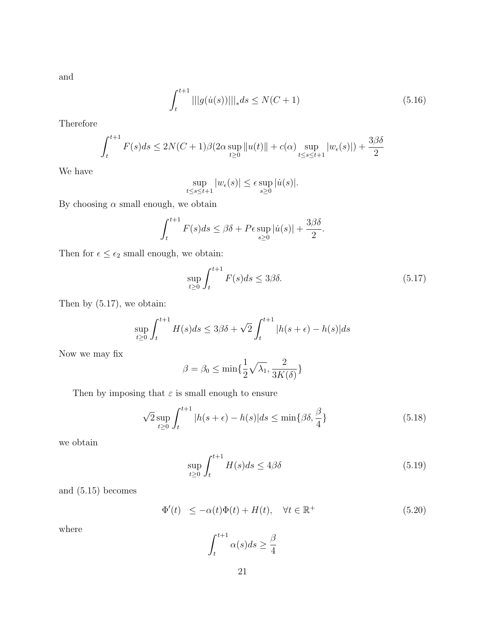and

$$
\int_{t}^{t+1} |||g(\dot{u}(s))|||_{*} ds \le N(C+1)
$$
\n(5.16)

Therefore

$$
\int_{t}^{t+1} F(s)ds \le 2N(C+1)\beta(2\alpha \sup_{t\ge 0} ||u(t)|| + c(\alpha) \sup_{t\le s\le t+1} |w_{\epsilon}(s)|) + \frac{3\beta\delta}{2}
$$

We have

$$
\sup_{t \le s \le t+1} |w_{\epsilon}(s)| \le \epsilon \sup_{s \ge 0} |\dot{u}(s)|.
$$

By choosing  $\alpha$  small enough, we obtain

$$
\int_{t}^{t+1} F(s)ds \leq \beta\delta + P\epsilon \sup_{s\geq 0} |\dot{u}(s)| + \frac{3\beta\delta}{2}.
$$

Then for  $\epsilon \leq \epsilon_2$  small enough, we obtain:

$$
\sup_{t\geq 0} \int_{t}^{t+1} F(s)ds \leq 3\beta\delta. \tag{5.17}
$$

Then by (5.17), we obtain:

$$
\sup_{t\geq 0} \int_{t}^{t+1} H(s)ds \leq 3\beta\delta + \sqrt{2} \int_{t}^{t+1} |h(s+\epsilon) - h(s)|ds
$$

Now we may fix

$$
\beta = \beta_0 \le \min\{\frac{1}{2}\sqrt{\lambda_1}, \frac{2}{3K(\delta)}\}
$$

Then by imposing that  $\varepsilon$  is small enough to ensure

$$
\sqrt{2}\sup_{t\geq 0} \int_{t}^{t+1} |h(s+\epsilon) - h(s)|ds \leq \min\{\beta\delta, \frac{\beta}{4}\}\tag{5.18}
$$

we obtain

$$
\sup_{t \ge 0} \int_{t}^{t+1} H(s)ds \le 4\beta \delta \tag{5.19}
$$

and (5.15) becomes

$$
\Phi'(t) \le -\alpha(t)\Phi(t) + H(t), \quad \forall t \in \mathbb{R}^+ \tag{5.20}
$$

where

$$
\int_{t}^{t+1} \alpha(s)ds \ge \frac{\beta}{4}
$$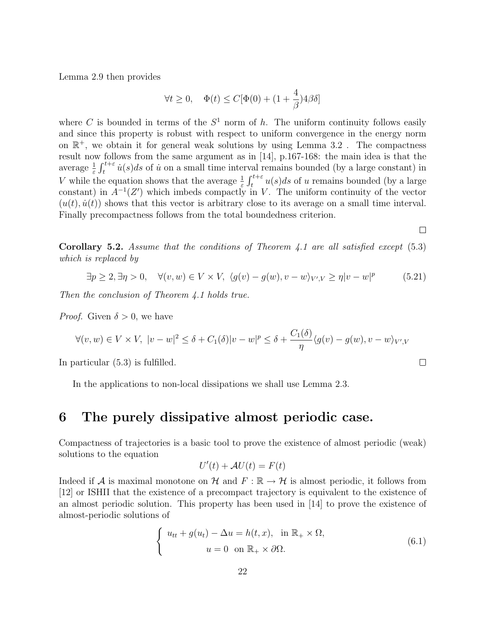Lemma 2.9 then provides

$$
\forall t \geq 0, \quad \Phi(t) \leq C[\Phi(0) + (1 + \frac{4}{\beta})4\beta\delta]
$$

where C is bounded in terms of the  $S<sup>1</sup>$  norm of h. The uniform continuity follows easily and since this property is robust with respect to uniform convergence in the energy norm on  $\mathbb{R}^+$ , we obtain it for general weak solutions by using Lemma 3.2. The compactness result now follows from the same argument as in [14], p.167-168: the main idea is that the average  $\frac{1}{\varepsilon} \int_t^{t+\varepsilon} \dot{u}(s)ds$  of  $\dot{u}$  on a small time interval remains bounded (by a large constant) in V while the equation shows that the average  $\frac{1}{\varepsilon} \int_{t}^{t+\varepsilon} u(s)ds$  of u remains bounded (by a large constant) in  $A^{-1}(Z')$  which imbeds compactly in V. The uniform continuity of the vector  $(u(t), \dot{u}(t))$  shows that this vector is arbitrary close to its average on a small time interval. Finally precompactness follows from the total boundedness criterion.

 $\Box$ 

 $\Box$ 

**Corollary 5.2.** Assume that the conditions of Theorem 4.1 are all satisfied except  $(5.3)$ which is replaced by

$$
\exists p \ge 2, \exists \eta > 0, \quad \forall (v, w) \in V \times V, \ \langle g(v) - g(w), v - w \rangle_{V', V} \ge \eta |v - w|^p \tag{5.21}
$$

Then the conclusion of Theorem 4.1 holds true.

*Proof.* Given  $\delta > 0$ , we have

$$
\forall (v, w) \in V \times V, \ |v - w|^2 \le \delta + C_1(\delta) |v - w|^p \le \delta + \frac{C_1(\delta)}{\eta} \langle g(v) - g(w), v - w \rangle_{V', V}
$$

In particular (5.3) is fulfilled.

In the applications to non-local dissipations we shall use Lemma 2.3.

## 6 The purely dissipative almost periodic case.

Compactness of trajectories is a basic tool to prove the existence of almost periodic (weak) solutions to the equation

$$
U'(t) + \mathcal{A}U(t) = F(t)
$$

Indeed if A is maximal monotone on H and  $F : \mathbb{R} \to H$  is almost periodic, it follows from [12] or ISHII that the existence of a precompact trajectory is equivalent to the existence of an almost periodic solution. This property has been used in [14] to prove the existence of almost-periodic solutions of

$$
\begin{cases}\n u_{tt} + g(u_t) - \Delta u = h(t, x), & \text{in } \mathbb{R}_+ \times \Omega, \\
 u = 0 & \text{on } \mathbb{R}_+ \times \partial \Omega.\n\end{cases}
$$
\n(6.1)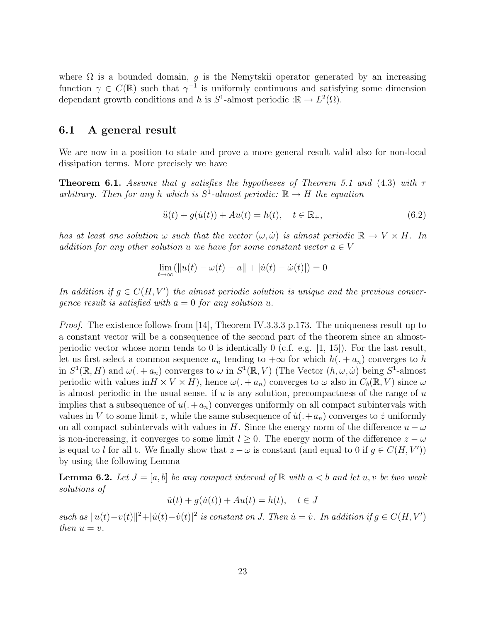where  $\Omega$  is a bounded domain, g is the Nemytskii operator generated by an increasing function  $\gamma \in C(\mathbb{R})$  such that  $\gamma^{-1}$  is uniformly continuous and satisfying some dimension dependant growth conditions and h is  $S^1$ -almost periodic : $\mathbb{R} \to L^2(\Omega)$ .

#### 6.1 A general result

We are now in a position to state and prove a more general result valid also for non-local dissipation terms. More precisely we have

**Theorem 6.1.** Assume that q satisfies the hypotheses of Theorem 5.1 and (4.3) with  $\tau$ arbitrary. Then for any h which is  $S^1$ -almost periodic:  $\mathbb{R} \to H$  the equation

$$
\ddot{u}(t) + g(\dot{u}(t)) + Au(t) = h(t), \quad t \in \mathbb{R}_+, \tag{6.2}
$$

has at least one solution  $\omega$  such that the vector  $(\omega, \dot{\omega})$  is almost periodic  $\mathbb{R} \to V \times H$ . In addition for any other solution u we have for some constant vector  $a \in V$ 

$$
\lim_{t \to \infty} (||u(t) - \omega(t) - a|| + |\dot{u}(t) - \dot{\omega}(t)|) = 0
$$

In addition if  $g \in C(H, V')$  the almost periodic solution is unique and the previous convergence result is satisfied with  $a = 0$  for any solution u.

*Proof.* The existence follows from [14], Theorem IV.3.3.3 p.173. The uniqueness result up to a constant vector will be a consequence of the second part of the theorem since an almostperiodic vector whose norm tends to 0 is identically 0 (c.f. e.g. [1, 15]). For the last result, let us first select a common sequence  $a_n$  tending to  $+\infty$  for which  $h(. + a_n)$  converges to h in  $S^1(\mathbb{R}, H)$  and  $\omega(1 + a_n)$  converges to  $\omega$  in  $S^1(\mathbb{R}, V)$  (The Vector  $(h, \omega, \dot{\omega})$  being  $S^1$ -almost periodic with values in  $H \times V \times H$ , hence  $\omega(1 + a_n)$  converges to  $\omega$  also in  $C_b(\mathbb{R}, V)$  since  $\omega$ is almost periodic in the usual sense. if  $u$  is any solution, precompactness of the range of  $u$ implies that a subsequence of  $u(·+a_n)$  converges uniformly on all compact subintervals with values in V to some limit z, while the same subsequence of  $\dot{u}$ .  $+a_n$  converges to  $\dot{z}$  uniformly on all compact subintervals with values in H. Since the energy norm of the difference  $u - \omega$ is non-increasing, it converges to some limit  $l \geq 0$ . The energy norm of the difference  $z - \omega$ is equal to l for all t. We finally show that  $z - \omega$  is constant (and equal to 0 if  $g \in C(H, V')$ ) by using the following Lemma

**Lemma 6.2.** Let  $J = [a, b]$  be any compact interval of  $\mathbb{R}$  with  $a < b$  and let  $u, v$  be two weak solutions of

$$
\ddot{u}(t) + g(\dot{u}(t)) + Au(t) = h(t), \quad t \in J
$$

such as  $||u(t)-v(t)||^2 + |u(t)-\dot{v}(t)|^2$  is constant on J. Then  $\dot{u} = \dot{v}$ . In addition if  $g \in C(H, V')$ then  $u = v$ .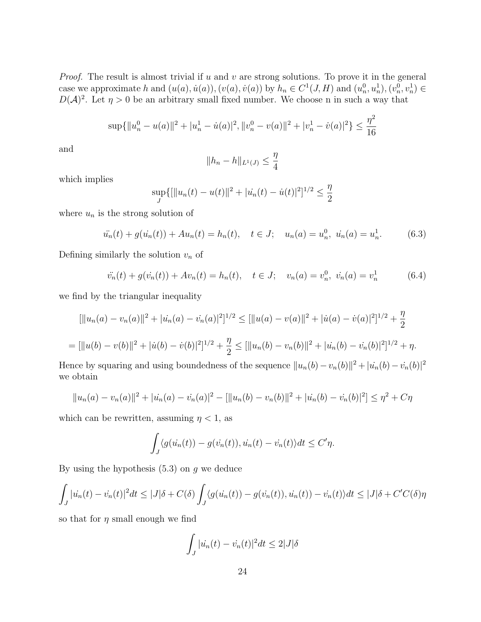*Proof.* The result is almost trivial if  $u$  and  $v$  are strong solutions. To prove it in the general case we approximate h and  $(u(a), \dot{u}(a)), (v(a), \dot{v}(a))$  by  $h_n \in C^1(J, H)$  and  $(u_n^0, u_n^1), (v_n^0, v_n^1) \in$  $D(\mathcal{A})^2$ . Let  $\eta > 0$  be an arbitrary small fixed number. We choose n in such a way that

$$
\sup\{\|u_n^0 - u(a)\|^2 + |u_n^1 - u(a)|^2, \|v_n^0 - v(a)\|^2 + |v_n^1 - v(a)|^2\} \le \frac{\eta^2}{16}
$$

and

$$
||h_n - h||_{L^1(J)} \le \frac{\eta}{4}
$$

which implies

$$
\sup_{J} \{ |||u_n(t) - u(t)||^2 + |u_n(t) - u(t)|^2 \}^{1/2} \le \frac{\eta}{2}
$$

where  $u_n$  is the strong solution of

$$
\ddot{u}_n(t) + g(\dot{u}_n(t)) + Au_n(t) = h_n(t), \quad t \in J; \quad u_n(a) = u_n^0, \quad \dot{u}_n(a) = u_n^1. \tag{6.3}
$$

Defining similarly the solution  $v_n$  of

$$
\ddot{v}_n(t) + g(\dot{v}_n(t)) + Av_n(t) = h_n(t), \quad t \in J; \quad v_n(a) = v_n^0, \quad \dot{v}_n(a) = v_n^1 \tag{6.4}
$$

we find by the triangular inequality

$$
[\|u_n(a) - v_n(a)\|^2 + |u_n(a) - v_n(a)|^2]^{1/2} \leq [\|u(a) - v(a)\|^2 + |u(a) - v(a)|^2]^{1/2} + \frac{\eta}{2}
$$

$$
= [||u(b) - v(b)||2 + |\dot{u}(b) - \dot{v}(b)|2]1/2 + \frac{\eta}{2} \leq [||u_n(b) - v_n(b)||2 + |\dot{u}_n(b) - \dot{v}_n(b)|2]1/2 + \eta.
$$

Hence by squaring and using boundedness of the sequence  $||u_n(b) - v_n(b)||^2 + |u_n(b) - v_n(b)|^2$ we obtain

$$
||u_n(a) - v_n(a)||^2 + |u_n(a) - v_n(a)|^2 - [||u_n(b) - v_n(b)||^2 + |u_n(b) - v_n(b)|^2] \le \eta^2 + C\eta
$$

which can be rewritten, assuming  $\eta$  < 1, as

$$
\int_J \langle g(\dot{u_n}(t)) - g(\dot{v_n}(t)), \dot{u_n}(t) - \dot{v_n}(t) \rangle dt \le C'\eta.
$$

By using the hypothesis  $(5.3)$  on g we deduce

$$
\int_{J} |u_n(t) - v_n(t)|^2 dt \le |J|\delta + C(\delta) \int_{J} \langle g(u_n(t)) - g(v_n(t)), u_n(t) \rangle - \dot{v}_n(t) \rangle dt \le |J|\delta + C'C(\delta)\eta
$$

so that for  $\eta$  small enough we find

$$
\int_J |u_n(t) - v_n(t)|^2 dt \le 2|J|\delta
$$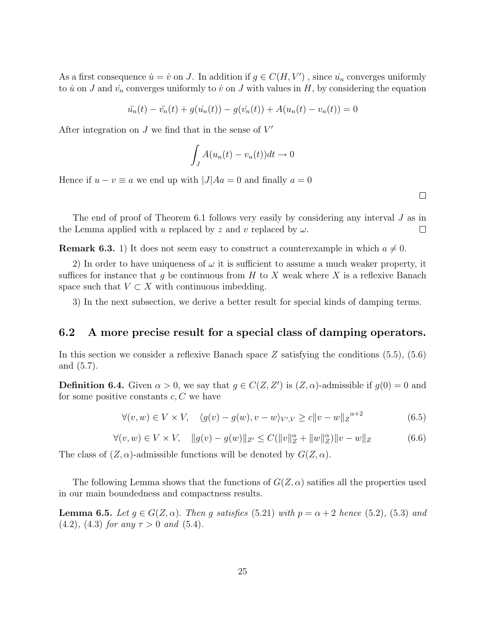As a first consequence  $\dot{u} = \dot{v}$  on J. In addition if  $g \in C(H, V')$ , since  $\dot{u}_n$  converges uniformly to  $\dot{u}$  on J and  $\dot{v}_n$  converges uniformly to  $\dot{v}$  on J with values in H, by considering the equation

$$
\ddot{u}_n(t) - \ddot{v}_n(t) + g(\dot{u}_n(t)) - g(\dot{v}_n(t)) + A(u_n(t) - v_n(t)) = 0
$$

After integration on  $J$  we find that in the sense of  $V'$ 

$$
\int_{J} A(u_n(t) - v_n(t))dt \to 0
$$

Hence if  $u - v \equiv a$  we end up with  $|J|Aa = 0$  and finally  $a = 0$ 

 $\Box$ 

The end of proof of Theorem 6.1 follows very easily by considering any interval J as in the Lemma applied with u replaced by z and v replaced by  $\omega$ .  $\Box$ 

**Remark 6.3.** 1) It does not seem easy to construct a counterexample in which  $a \neq 0$ .

2) In order to have uniqueness of  $\omega$  it is sufficient to assume a much weaker property, it suffices for instance that g be continuous from  $H$  to  $X$  weak where  $X$  is a reflexive Banach space such that  $V \subset X$  with continuous imbedding.

3) In the next subsection, we derive a better result for special kinds of damping terms.

#### 6.2 A more precise result for a special class of damping operators.

In this section we consider a reflexive Banach space  $Z$  satisfying the conditions  $(5.5)$ ,  $(5.6)$ and (5.7).

**Definition 6.4.** Given  $\alpha > 0$ , we say that  $g \in C(Z, Z')$  is  $(Z, \alpha)$ -admissible if  $g(0) = 0$  and for some positive constants  $c, C$  we have

$$
\forall (v, w) \in V \times V, \quad \langle g(v) - g(w), v - w \rangle_{V', V} \ge c \|v - w\|_Z^{\alpha + 2}
$$
(6.5)

$$
\forall (v, w) \in V \times V, \quad ||g(v) - g(w)||_{Z'} \le C(||v||_Z^{\alpha} + ||w||_Z^{\alpha}) ||v - w||_Z \tag{6.6}
$$

The class of  $(Z, \alpha)$ -admissible functions will be denoted by  $G(Z, \alpha)$ .

The following Lemma shows that the functions of  $G(Z, \alpha)$  satifies all the properties used in our main boundedness and compactness results.

**Lemma 6.5.** Let  $g \in G(Z, \alpha)$ . Then g satisfies (5.21) with  $p = \alpha + 2$  hence (5.2), (5.3) and (4.2), (4.3) for any  $\tau > 0$  and (5.4).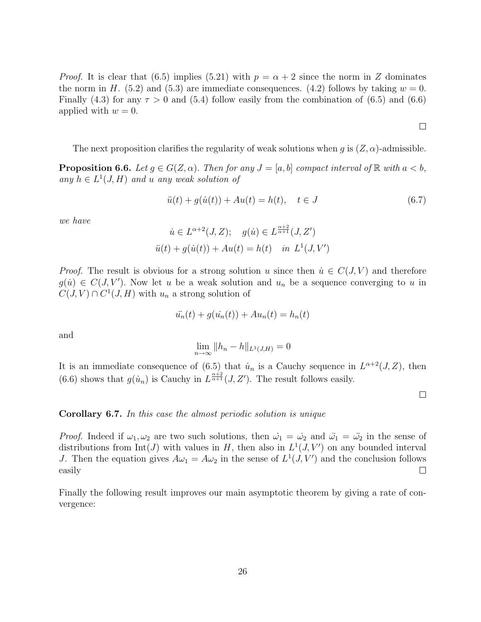*Proof.* It is clear that (6.5) implies (5.21) with  $p = \alpha + 2$  since the norm in Z dominates the norm in H. (5.2) and (5.3) are immediate consequences. (4.2) follows by taking  $w = 0$ . Finally (4.3) for any  $\tau > 0$  and (5.4) follow easily from the combination of (6.5) and (6.6) applied with  $w = 0$ .

The next proposition clarifies the regularity of weak solutions when g is  $(Z, \alpha)$ -admissible.

**Proposition 6.6.** Let  $g \in G(Z, \alpha)$ . Then for any  $J = [a, b]$  compact interval of  $\mathbb{R}$  with  $a < b$ , any  $h \in L^1(J, H)$  and u any weak solution of

$$
\ddot{u}(t) + g(\dot{u}(t)) + Au(t) = h(t), \quad t \in J \tag{6.7}
$$

we have

$$
\dot{u} \in L^{\alpha+2}(J, Z); \quad g(\dot{u}) \in L^{\frac{\alpha+2}{\alpha+1}}(J, Z')
$$

$$
\ddot{u}(t) + g(\dot{u}(t)) + Au(t) = h(t) \quad \text{in} \ L^1(J, V')
$$

*Proof.* The result is obvious for a strong solution u since then  $\dot{u} \in C(J, V)$  and therefore  $g(u) \in C(J, V')$ . Now let u be a weak solution and  $u_n$  be a sequence converging to u in  $C(J, V) \cap C^1(J, H)$  with  $u_n$  a strong solution of

$$
\ddot{u_n}(t) + g(\dot{u_n}(t)) + Au_n(t) = h_n(t)
$$

and

$$
\lim_{n \to \infty} ||h_n - h||_{L^1(J, H)} = 0
$$

It is an immediate consequence of (6.5) that  $\dot{u}_n$  is a Cauchy sequence in  $L^{\alpha+2}(J, Z)$ , then (6.6) shows that  $g(u_n)$  is Cauchy in  $L^{\frac{\alpha+2}{\alpha+1}}(J, Z')$ . The result follows easily.

 $\Box$ 

 $\Box$ 

#### Corollary 6.7. In this case the almost periodic solution is unique

*Proof.* Indeed if  $\omega_1, \omega_2$  are two such solutions, then  $\dot{\omega_1} = \dot{\omega_2}$  and  $\ddot{\omega_1} = \ddot{\omega_2}$  in the sense of distributions from  $Int(J)$  with values in H, then also in  $L^1(J, V')$  on any bounded interval J. Then the equation gives  $A\omega_1 = A\omega_2$  in the sense of  $L^1(J, V')$  and the conclusion follows easily  $\Box$ 

Finally the following result improves our main asymptotic theorem by giving a rate of convergence: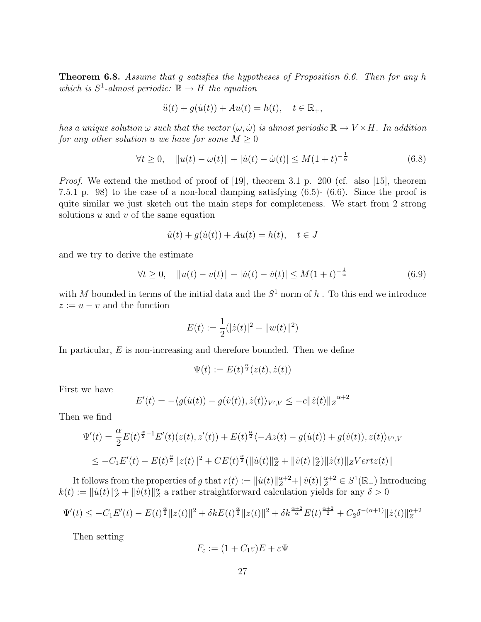Theorem 6.8. Assume that g satisfies the hypotheses of Proposition 6.6. Then for any h which is  $S^1$ -almost periodic:  $\mathbb{R} \to H$  the equation

$$
\ddot{u}(t) + g(\dot{u}(t)) + Au(t) = h(t), \quad t \in \mathbb{R}_+,
$$

has a unique solution  $\omega$  such that the vector  $(\omega, \dot{\omega})$  is almost periodic  $\mathbb{R} \to V \times H$ . In addition for any other solution u we have for some  $M \geq 0$ 

$$
\forall t \ge 0, \quad \|u(t) - \omega(t)\| + |\dot{u}(t) - \dot{\omega}(t)| \le M(1+t)^{-\frac{1}{\alpha}} \tag{6.8}
$$

Proof. We extend the method of proof of [19], theorem 3.1 p. 200 (cf. also [15], theorem 7.5.1 p. 98) to the case of a non-local damping satisfying (6.5)- (6.6). Since the proof is quite similar we just sketch out the main steps for completeness. We start from 2 strong solutions  $u$  and  $v$  of the same equation

$$
\ddot{u}(t) + g(\dot{u}(t)) + Au(t) = h(t), \quad t \in J
$$

and we try to derive the estimate

$$
\forall t \ge 0, \quad \|u(t) - v(t)\| + |\dot{u}(t) - \dot{v}(t)| \le M(1+t)^{-\frac{1}{\alpha}} \tag{6.9}
$$

with M bounded in terms of the initial data and the  $S^1$  norm of h. To this end we introduce  $z := u - v$  and the function

$$
E(t) := \frac{1}{2}(|\dot{z}(t)|^2 + ||w(t)||^2)
$$

In particular,  $E$  is non-increasing and therefore bounded. Then we define

$$
\Psi(t) := E(t)^{\frac{\alpha}{2}}(z(t), \dot{z}(t))
$$

First we have

$$
E'(t) = -\langle g(\dot{u}(t)) - g(\dot{v}(t)), \dot{z}(t) \rangle_{V',V} \le -c||\dot{z}(t)||z^{\alpha+2}
$$

Then we find

$$
\Psi'(t) = \frac{\alpha}{2} E(t)^{\frac{\alpha}{2}-1} E'(t) (z(t), z'(t)) + E(t)^{\frac{\alpha}{2}} \langle -Az(t) - g(\dot{u}(t)) + g(\dot{v}(t)), z(t) \rangle_{V',V}
$$
  
\n
$$
\leq -C_1 E'(t) - E(t)^{\frac{\alpha}{2}} \|z(t)\|^2 + CE(t)^{\frac{\alpha}{2}} (\|\dot{u}(t)\|_{Z}^{\alpha} + \|\dot{v}(t)\|_{Z}^{\alpha}) \|\dot{z}(t)\|_{Z} Vertz(t) \|
$$

It follows from the properties of g that  $r(t) := ||\dot{u}(t)||_Z^{\alpha+2} + ||\dot{v}(t)||_Z^{\alpha+2} \in S^1(\mathbb{R}_+)$  Introducing  $k(t) := \| \dot{u}(t) \|_Z^{\alpha} + \| \dot{v}(t) \|_Z^{\alpha}$  a rather straightforward calculation yields for any  $\delta > 0$ 

$$
\Psi'(t) \le -C_1 E'(t) - E(t)^{\frac{\alpha}{2}} \|z(t)\|^2 + \delta k E(t)^{\frac{\alpha}{2}} \|z(t)\|^2 + \delta k^{\frac{\alpha+2}{\alpha}} E(t)^{\frac{\alpha+2}{2}} + C_2 \delta^{-(\alpha+1)} \|z(t)\|_{Z}^{\alpha+2}
$$

Then setting

$$
F_{\varepsilon} := (1 + C_1 \varepsilon)E + \varepsilon \Psi
$$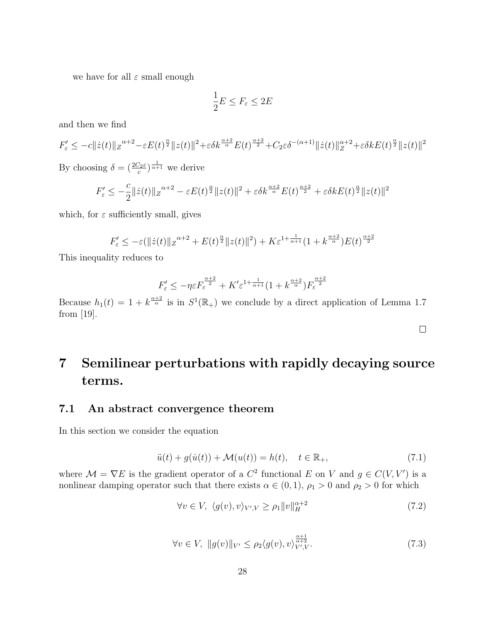we have for all  $\varepsilon$  small enough

$$
\frac{1}{2}E \leq F_{\varepsilon} \leq 2E
$$

and then we find

$$
F'_{\varepsilon} \le -c||\dot{z}(t)||z^{\alpha+2} - \varepsilon E(t)^{\frac{\alpha}{2}}||z(t)||^2 + \varepsilon \delta k^{\frac{\alpha+2}{\alpha}} E(t)^{\frac{\alpha+2}{2}} + C_2 \varepsilon \delta^{-(\alpha+1)} ||\dot{z}(t)||_Z^{\alpha+2} + \varepsilon \delta k E(t)^{\frac{\alpha}{2}} ||z(t)||^2
$$

By choosing  $\delta = \left(\frac{2C_2\varepsilon}{c}\right)^{\frac{1}{\alpha+1}}$  we derive

$$
F'_{\varepsilon} \leq -\frac{c}{2} ||\dot{z}(t)||_{Z}^{\alpha+2} - \varepsilon E(t)^{\frac{\alpha}{2}} ||z(t)||^{2} + \varepsilon \delta k^{\frac{\alpha+2}{\alpha}} E(t)^{\frac{\alpha+2}{2}} + \varepsilon \delta k E(t)^{\frac{\alpha}{2}} ||z(t)||^{2}
$$

which, for  $\varepsilon$  sufficiently small, gives

$$
F'_{\varepsilon} \le -\varepsilon (\Vert \dot{z}(t) \Vert_{Z}^{\alpha+2} + E(t)^{\frac{\alpha}{2}} \Vert z(t) \Vert^{2}) + K \varepsilon^{1+\frac{1}{\alpha+1}} (1 + k^{\frac{\alpha+2}{\alpha}}) E(t)^{\frac{\alpha+2}{2}}
$$

This inequality reduces to

$$
F'_{\varepsilon} \leq -\eta \varepsilon F_{\varepsilon}^{\frac{\alpha+2}{2}} + K' \varepsilon^{1+\frac{1}{\alpha+1}} (1+ k^{\frac{\alpha+2}{\alpha}}) F_{\varepsilon}^{\frac{\alpha+2}{2}}
$$

Because  $h_1(t) = 1 + k^{\frac{\alpha+2}{\alpha}}$  is in  $S^1(\mathbb{R}_+)$  we conclude by a direct application of Lemma 1.7 from [19].

# 7 Semilinear perturbations with rapidly decaying source terms.

#### 7.1 An abstract convergence theorem

In this section we consider the equation

$$
\ddot{u}(t) + g(\dot{u}(t)) + \mathcal{M}(u(t)) = h(t), \quad t \in \mathbb{R}_+, \tag{7.1}
$$

where  $\mathcal{M} = \nabla E$  is the gradient operator of a  $C^2$  functional E on V and  $g \in C(V, V')$  is a nonlinear damping operator such that there exists  $\alpha \in (0,1)$ ,  $\rho_1 > 0$  and  $\rho_2 > 0$  for which

$$
\forall v \in V, \ \langle g(v), v \rangle_{V', V} \ge \rho_1 \|v\|_{H}^{\alpha+2} \tag{7.2}
$$

$$
\forall v \in V, \ \|g(v)\|_{V'} \le \rho_2 \langle g(v), v \rangle_{V', V}^{\frac{\alpha+1}{\alpha+2}}.
$$
\n(7.3)

 $\Box$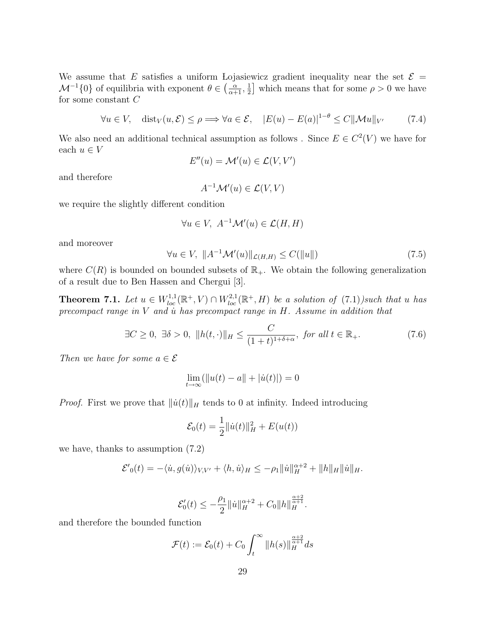We assume that E satisfies a uniform Lojasiewicz gradient inequality near the set  $\mathcal{E} =$  $\mathcal{M}^{-1}{0}$  of equilibria with exponent  $\theta \in \left(\frac{\alpha}{\alpha+1}, \frac{1}{2}\right)$  $\frac{1}{2}$  which means that for some  $\rho > 0$  we have for some constant C

$$
\forall u \in V, \quad \text{dist}_V(u, \mathcal{E}) \le \rho \Longrightarrow \forall a \in \mathcal{E}, \quad |E(u) - E(a)|^{1-\theta} \le C \|\mathcal{M}u\|_{V'} \tag{7.4}
$$

We also need an additional technical assumption as follows. Since  $E \in C^2(V)$  we have for each  $u \in V$ 

$$
E''(u) = \mathcal{M}'(u) \in \mathcal{L}(V, V')
$$

and therefore

$$
A^{-1} \mathcal{M}'(u) \in \mathcal{L}(V, V)
$$

we require the slightly different condition

$$
\forall u \in V, \ A^{-1} \mathcal{M}'(u) \in \mathcal{L}(H, H)
$$

and moreover

$$
\forall u \in V, \ \Vert A^{-1} \mathcal{M}'(u) \Vert_{\mathcal{L}(H,H)} \le C(\Vert u \Vert) \tag{7.5}
$$

where  $C(R)$  is bounded on bounded subsets of  $\mathbb{R}_+$ . We obtain the following generalization of a result due to Ben Hassen and Chergui [3].

**Theorem 7.1.** Let  $u \in W^{1,1}_{loc}(\mathbb{R}^+, V) \cap W^{2,1}_{loc}(\mathbb{R}^+, H)$  be a solution of  $(7.1)$ )such that u has precompact range in  $V$  and  $\dot{u}$  has precompact range in  $H$ . Assume in addition that

$$
\exists C \ge 0, \ \exists \delta > 0, \ ||h(t, \cdot)||_H \le \frac{C}{(1+t)^{1+\delta+\alpha}}, \text{ for all } t \in \mathbb{R}_+.
$$
 (7.6)

Then we have for some  $a \in \mathcal{E}$ 

$$
\lim_{t \to \infty} (||u(t) - a|| + |\dot{u}(t)|) = 0
$$

*Proof.* First we prove that  $\|\dot{u}(t)\|_{H}$  tends to 0 at infinity. Indeed introducing

$$
\mathcal{E}_0(t) = \frac{1}{2} ||\dot{u}(t)||_H^2 + E(u(t))
$$

we have, thanks to assumption (7.2)

$$
\mathcal{E'}_0(t) = -\langle \dot{u}, g(\dot{u}) \rangle_{V,V'} + \langle h, \dot{u} \rangle_H \le -\rho_1 \| \dot{u} \|_H^{\alpha+2} + \| h \|_H \| \dot{u} \|_H.
$$

$$
\mathcal{E}'_0(t) \leq -\frac{\rho_1}{2} \| \dot{u} \|_{H}^{\alpha+2} + C_0 \| h \|_{H}^{\frac{\alpha+2}{\alpha+1}}.
$$

and therefore the bounded function

$$
\mathcal{F}(t) := \mathcal{E}_0(t) + C_0 \int_t^{\infty} ||h(s)||_{H}^{\frac{\alpha+2}{\alpha+1}} ds
$$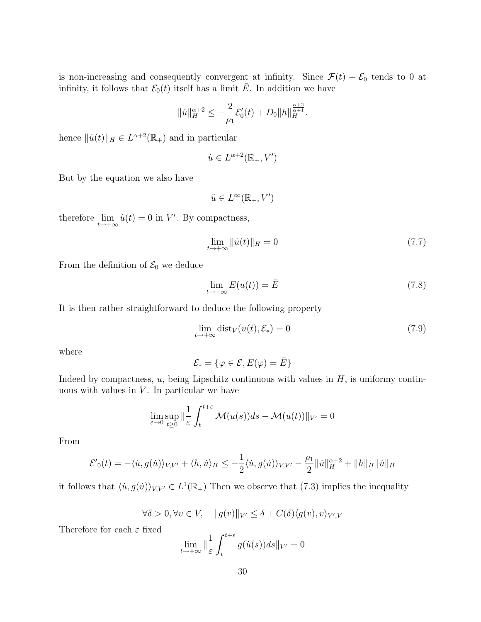is non-increasing and consequently convergent at infinity. Since  $\mathcal{F}(t) - \mathcal{E}_0$  tends to 0 at infinity, it follows that  $\mathcal{E}_0(t)$  itself has a limit  $\overline{E}$ . In addition we have

$$
\|u\|_{H}^{\alpha+2} \leq -\frac{2}{\rho_1} \mathcal{E}'_0(t) + D_0 \|h\|_{H}^{\frac{\alpha+2}{\alpha+1}}.
$$

hence  $\|\dot{u}(t)\|_{H} \in L^{\alpha+2}(\mathbb{R}_{+})$  and in particular

$$
\dot{u}\in L^{\alpha+2}(\mathbb{R}_+,V')
$$

But by the equation we also have

$$
\ddot{u} \in L^\infty(\mathbb{R}_+, V')
$$

therefore  $\lim_{t \to +\infty} \dot{u}(t) = 0$  in V'. By compactness,

$$
\lim_{t \to +\infty} \|\dot{u}(t)\|_{H} = 0\tag{7.7}
$$

From the definition of  $\mathcal{E}_0$  we deduce

$$
\lim_{t \to +\infty} E(u(t)) = \bar{E}
$$
\n(7.8)

It is then rather straightforward to deduce the following property

$$
\lim_{t \to +\infty} \text{dist}_V(u(t), \mathcal{E}_*) = 0 \tag{7.9}
$$

where

$$
\mathcal{E}_* = \{ \varphi \in \mathcal{E}, E(\varphi) = \bar{E} \}
$$

Indeed by compactness,  $u$ , being Lipschitz continuous with values in  $H$ , is uniformy continuous with values in  $V$ . In particular we have

$$
\lim_{\varepsilon \to 0} \sup_{t \ge 0} \|\frac{1}{\varepsilon} \int_t^{t+\varepsilon} \mathcal{M}(u(s))ds - \mathcal{M}(u(t))\|_{V'} = 0
$$

From

$$
\mathcal{E'}_0(t) = -\langle \dot{u}, g(\dot{u}) \rangle_{V,V'} + \langle h, \dot{u} \rangle_H \le -\frac{1}{2} \langle \dot{u}, g(\dot{u}) \rangle_{V,V'} - \frac{\rho_1}{2} ||\dot{u}||_H^{\alpha+2} + ||h||_H ||\dot{u}||_H
$$

it follows that  $\langle \dot{u}, g(\dot{u}) \rangle_{V,V'} \in L^1(\mathbb{R}_+)$  Then we observe that (7.3) implies the inequality

$$
\forall \delta > 0, \forall v \in V, \quad ||g(v)||_{V'} \leq \delta + C(\delta) \langle g(v), v \rangle_{V',V}
$$

Therefore for each  $\varepsilon$  fixed

$$
\lim_{t \to +\infty} \|\frac{1}{\varepsilon} \int_{t}^{t+\varepsilon} g(\dot{u}(s))ds\|_{V'} = 0
$$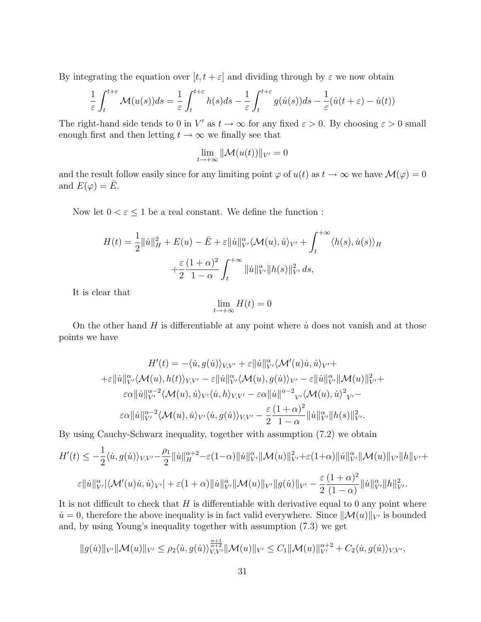By integrating the equation over  $[t, t + \varepsilon]$  and dividing through by  $\varepsilon$  we now obtain

$$
\frac{1}{\varepsilon} \int_{t}^{t+\varepsilon} \mathcal{M}(u(s))ds = \frac{1}{\varepsilon} \int_{t}^{t+\varepsilon} h(s)ds - \frac{1}{\varepsilon} \int_{t}^{t+\varepsilon} g(\dot{u}(s))ds - \frac{1}{\varepsilon} (\dot{u}(t+\varepsilon) - \dot{u}(t))
$$

The right-hand side tends to 0 in V' as  $t \to \infty$  for any fixed  $\varepsilon > 0$ . By choosing  $\varepsilon > 0$  small enough first and then letting  $t \to \infty$  we finally see that

$$
\lim_{t\to+\infty} \|\mathcal{M}(u(t))\|_{V'}=0
$$

and the result follow easily since for any limiting point  $\varphi$  of  $u(t)$  as  $t \to \infty$  we have  $\mathcal{M}(\varphi) = 0$ and  $E(\varphi) = \overline{E}$ .

Now let  $0 < \varepsilon \leq 1$  be a real constant. We define the function :

$$
H(t) = \frac{1}{2} ||\dot{u}||_H^2 + E(u) - \bar{E} + \varepsilon ||\dot{u}||_{V'}^\alpha \langle \mathcal{M}(u), \dot{u} \rangle_{V'} + \int_t^{+\infty} \langle h(s), \dot{u}(s) \rangle_H
$$
  
 
$$
+ \frac{\varepsilon}{2} \frac{(1+\alpha)^2}{1-\alpha} \int_t^{+\infty} ||\dot{u}||_{V'}^\alpha ||h(s)||_{V'}^2 ds,
$$

It is clear that

$$
\lim_{t \to +\infty} H(t) = 0
$$

On the other hand H is differentiable at any point where  $\dot{u}$  does not vanish and at those points we have

$$
H'(t) = -\langle \dot{u}, g(\dot{u}) \rangle_{V,V'} + \varepsilon ||\dot{u}||_{V'}^{\alpha} \langle \mathcal{M}'(u)\dot{u}, \dot{u} \rangle_{V'} +
$$
  
\n
$$
+ \varepsilon ||\dot{u}||_{V'}^{\alpha} \langle \mathcal{M}(u), h(t) \rangle_{V,V'} - \varepsilon ||\dot{u}||_{V'}^{\alpha} \langle \mathcal{M}(u), g(\dot{u}) \rangle_{V'} - \varepsilon ||\dot{u}||_{V'}^{\alpha} ||\mathcal{M}(u)||_{V'}^{2} +
$$
  
\n
$$
\varepsilon \alpha ||\dot{u}||_{V'}^{\alpha-2} \langle \mathcal{M}(u), \dot{u} \rangle_{V'} \langle \dot{u}, h \rangle_{V,V'} - \varepsilon \alpha ||\dot{u}||^{\alpha-2} {}_{V'} \langle \mathcal{M}(u), \dot{u} \rangle^{2} {}_{V'} -
$$
  
\n
$$
\varepsilon \alpha ||\dot{u}||_{V'}^{\alpha-2} \langle \mathcal{M}(u), \dot{u} \rangle_{V'} \langle \dot{u}, g(\dot{u}) \rangle_{V,V'} - \frac{\varepsilon}{2} \frac{(1+\alpha)^{2}}{1-\alpha} ||\dot{u}||_{V'}^{\alpha} ||h(s)||_{V'}^{2}.
$$

By using Cauchy-Schwarz inequality, together with assumption (7.2) we obtain

$$
H'(t) \leq -\frac{1}{2} \langle \dot{u}, g(\dot{u}) \rangle_{V, V'} - \frac{\rho_1}{2} ||\dot{u}||_H^{\alpha+2} - \varepsilon (1-\alpha) ||\dot{u}||_{V'}^{\alpha} ||\mathcal{M}(u)||_{V'} + \varepsilon (1+\alpha) ||\dot{u}||_{V'}^{\alpha} ||\mathcal{M}(u)||_{V'} ||h||_{V'} +
$$
  

$$
\varepsilon ||\dot{u}||_{V'}^{\alpha} |\langle \mathcal{M}'(u)\dot{u}, \dot{u}\rangle_{V'}| + \varepsilon (1+\alpha) ||\dot{u}||_{V'}^{\alpha} ||\mathcal{M}(u)||_{V'} ||g(\dot{u})||_{V'} - \frac{\varepsilon}{2} \frac{(1+\alpha)^2}{(1-\alpha)} ||\dot{u}||_{V'}^{\alpha} ||h||_{V'}^2.
$$

It is not difficult to check that  $H$  is differentiable with derivative equal to 0 any point where  $u = 0$ , therefore the above inequality is in fact valid everywhere. Since  $\|\mathcal{M}(u)\|_{V}$  is bounded and, by using Young's inequality together with assumption (7.3) we get

$$
||g(\dot{u})||_{V'}||\mathcal{M}(u)||_{V'} \leq \rho_2 \langle \dot{u}, g(\dot{u}) \rangle_{V,V'}^{\frac{\alpha+1}{\alpha+2}}||\mathcal{M}(u)||_{V'} \leq C_1||\mathcal{M}(u)||_{V'}^{\alpha+2} + C_2 \langle \dot{u}, g(\dot{u}) \rangle_{V,V'},
$$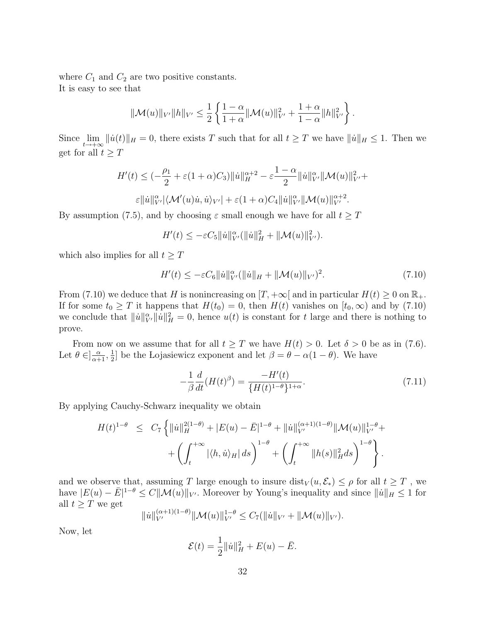where  $C_1$  and  $C_2$  are two positive constants. It is easy to see that

$$
\|\mathcal{M}(u)\|_{V'}\|h\|_{V'}\leq \frac{1}{2}\left\{\frac{1-\alpha}{1+\alpha}\|\mathcal{M}(u)\|_{V'}^2+\frac{1+\alpha}{1-\alpha}\|h\|_{V'}^2\right\}.
$$

Since  $\lim_{t\to+\infty} ||\dot{u}(t)||_H = 0$ , there exists T such that for all  $t \geq T$  we have  $||\dot{u}||_H \leq 1$ . Then we get for all  $t \geq T$ 

$$
H'(t) \leq \left(-\frac{\rho_1}{2} + \varepsilon (1+\alpha)C_3\right) \|\dot{u}\|_{H}^{\alpha+2} - \varepsilon \frac{1-\alpha}{2} \|\dot{u}\|_{V'}^{\alpha} \|\mathcal{M}(u)\|_{V'}^{2} + \varepsilon \|\dot{u}\|_{V'}^{\alpha} \|\mathcal{M}(u)\|_{V'}^{\alpha+2}.
$$
  

$$
\varepsilon \|\dot{u}\|_{V'}^{\alpha} |\langle \mathcal{M}'(u)\dot{u}, \dot{u}\rangle_{V'}| + \varepsilon (1+\alpha)C_4 \|\dot{u}\|_{V'}^{\alpha} \|\mathcal{M}(u)\|_{V'}^{\alpha+2}.
$$

By assumption (7.5), and by choosing  $\varepsilon$  small enough we have for all  $t \geq T$ 

$$
H'(t) \leq -\varepsilon C_5 \| \dot{u} \|_{V'}^{\alpha} (\|\dot{u}\|_{H}^{2} + \| \mathcal{M}(u) \|_{V'}^{2}).
$$

which also implies for all  $t \geq T$ 

$$
H'(t) \le -\varepsilon C_6 \| \dot{u} \|_{V'}^{\alpha} (\|\dot{u}\|_{H} + \| \mathcal{M}(u) \|_{V'})^2.
$$
 (7.10)

From (7.10) we deduce that H is nonincreasing on  $[T, +\infty]$  and in particular  $H(t) \geq 0$  on  $\mathbb{R}_+$ . If for some  $t_0 \geq T$  it happens that  $H(t_0) = 0$ , then  $H(t)$  vanishes on  $[t_0, \infty)$  and by (7.10) we conclude that  $\|\dot{u}\|_{V'}^{\alpha}\|\dot{u}\|_{H}^2=0$ , hence  $u(t)$  is constant for t large and there is nothing to prove.

From now on we assume that for all  $t \geq T$  we have  $H(t) > 0$ . Let  $\delta > 0$  be as in (7.6). Let  $\theta \in ]\frac{\alpha}{\alpha+1}, \frac{1}{2}$  $\frac{1}{2}$  be the Lojasiewicz exponent and let  $\beta = \theta - \alpha(1 - \theta)$ . We have

$$
-\frac{1}{\beta} \frac{d}{dt} (H(t)^{\beta}) = \frac{-H'(t)}{\{H(t)^{1-\theta}\}^{1+\alpha}}.
$$
\n(7.11)

By applying Cauchy-Schwarz inequality we obtain

$$
H(t)^{1-\theta} \leq C_7 \left\{ ||\dot{u}||_H^{2(1-\theta)} + |E(u) - \bar{E}|^{1-\theta} + ||\dot{u}||_{V'}^{(\alpha+1)(1-\theta)} ||\mathcal{M}(u)||_{V'}^{1-\theta} + \left( \int_t^{+\infty} |\langle h, \dot{u} \rangle_H | ds \right)^{1-\theta} + \left( \int_t^{+\infty} ||h(s)||_H^2 ds \right)^{1-\theta} \right\}.
$$

and we observe that, assuming T large enough to insure  $dist_V (u, \mathcal{E}_*) \leq \rho$  for all  $t \geq T$ , we have  $|E(u) - \bar{E}|^{1-\theta} \le C ||\mathcal{M}(u)||_{V'}$ . Moreover by Young's inequality and since  $||u||_H \le 1$  for all  $t \geq T$  we get

$$
\|u\|_{V'}^{(\alpha+1)(1-\theta)} \|\mathcal{M}(u)\|_{V'}^{1-\theta} \leq C_7(\|u\|_{V'} + \|\mathcal{M}(u)\|_{V'}).
$$

Now, let

$$
\mathcal{E}(t) = \frac{1}{2} ||\dot{u}||_H^2 + E(u) - \bar{E}.
$$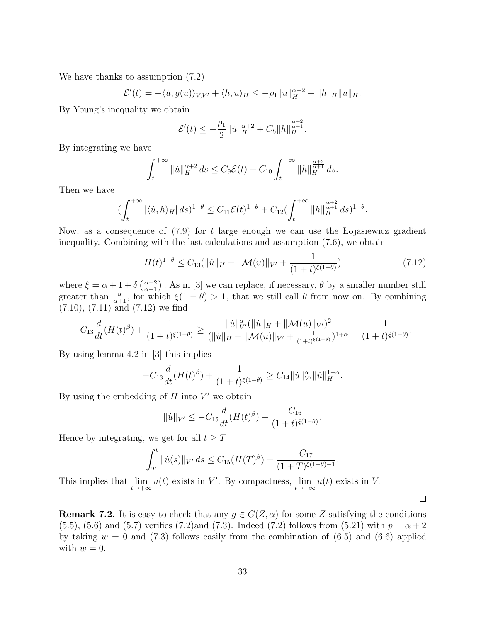We have thanks to assumption (7.2)

$$
\mathcal{E}'(t) = -\langle \dot{u}, g(\dot{u}) \rangle_{V,V'} + \langle h, \dot{u} \rangle_H \le -\rho_1 \| \dot{u} \|_H^{\alpha+2} + \| h \|_H \| \dot{u} \|_H.
$$

By Young's inequality we obtain

$$
\mathcal{E}'(t) \le -\frac{\rho_1}{2} ||\dot{u}||_H^{\alpha+2} + C_8 ||h||_H^{\frac{\alpha+2}{\alpha+1}}.
$$

By integrating we have

$$
\int_{t}^{+\infty} \| \dot{u} \|_{H}^{\alpha+2} ds \leq C_9 \mathcal{E}(t) + C_{10} \int_{t}^{+\infty} \| h \|_{H}^{\frac{\alpha+2}{\alpha+1}} ds.
$$

Then we have

$$
\left(\int_{t}^{+\infty} |\langle \dot{u}, h \rangle_{H}| ds\right)^{1-\theta} \leq C_{11} \mathcal{E}(t)^{1-\theta} + C_{12} \left(\int_{t}^{+\infty} \|h\|_{H}^{\frac{\alpha+2}{\alpha+1}} ds\right)^{1-\theta}.
$$

Now, as a consequence of  $(7.9)$  for t large enough we can use the Lojasiewicz gradient inequality. Combining with the last calculations and assumption (7.6), we obtain

$$
H(t)^{1-\theta} \le C_{13}(\|\dot{u}\|_{H} + \|\mathcal{M}(u)\|_{V'} + \frac{1}{(1+t)^{\xi(1-\theta)}})
$$
\n(7.12)

 $\Box$ 

where  $\xi = \alpha + 1 + \delta \left( \frac{\alpha + 2}{\alpha + 1} \right)$ . As in [3] we can replace, if necessary,  $\theta$  by a smaller number still greater than  $\frac{\alpha}{\alpha+1}$ , for which  $\xi(1-\theta) > 1$ , that we still call  $\theta$  from now on. By combining (7.10), (7.11) and (7.12) we find

$$
-C_{13}\frac{d}{dt}(H(t)^{\beta})+\frac{1}{(1+t)^{\xi(1-\theta)}}\geq \frac{\|u\|_{V'}^{\alpha}(\|u\|_{H}+\|\mathcal{M}(u)\|_{V'})^{2}}{(\|u\|_{H}+\|\mathcal{M}(u)\|_{V'}+\frac{1}{(1+t)^{\xi(1-\theta)}})^{1+\alpha}}+\frac{1}{(1+t)^{\xi(1-\theta)}}.
$$

By using lemma 4.2 in [3] this implies

$$
-C_{13}\frac{d}{dt}(H(t)^{\beta}) + \frac{1}{(1+t)^{\xi(1-\theta)}} \geq C_{14}||\dot{u}||^{\alpha}_{V'}||\dot{u}||^{1-\alpha}_{H}.
$$

By using the embedding of  $H$  into  $V'$  we obtain

$$
||\dot{u}||_{V'} \leq -C_{15}\frac{d}{dt}(H(t)^{\beta}) + \frac{C_{16}}{(1+t)^{\xi(1-\theta)}}.
$$

Hence by integrating, we get for all  $t \geq T$ 

$$
\int_T^t \|\dot{u}(s)\|_{V'} ds \le C_{15}(H(T)^{\beta}) + \frac{C_{17}}{(1+T)^{\xi(1-\theta)-1}}.
$$

This implies that  $\lim_{t\to+\infty}u(t)$  exists in V'. By compactness,  $\lim_{t\to+\infty}u(t)$  exists in V.

**Remark 7.2.** It is easy to check that any  $g \in G(Z, \alpha)$  for some Z satisfying the conditions  $(5.5)$ ,  $(5.6)$  and  $(5.7)$  verifies  $(7.2)$ and  $(7.3)$ . Indeed  $(7.2)$  follows from  $(5.21)$  with  $p = \alpha + 2$ by taking  $w = 0$  and (7.3) follows easily from the combination of (6.5) and (6.6) applied with  $w = 0$ .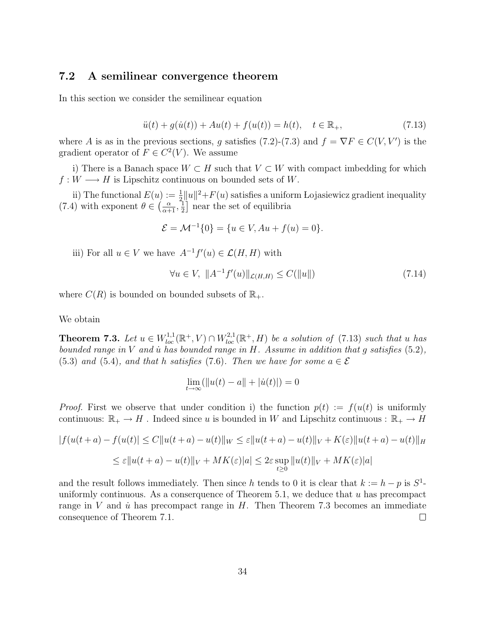#### 7.2 A semilinear convergence theorem

In this section we consider the semilinear equation

$$
\ddot{u}(t) + g(\dot{u}(t)) + Au(t) + f(u(t)) = h(t), \quad t \in \mathbb{R}_+, \tag{7.13}
$$

where A is as in the previous sections, g satisfies (7.2)-(7.3) and  $f = \nabla F \in C(V, V')$  is the gradient operator of  $F \in C^2(V)$ . We assume

i) There is a Banach space  $W \subset H$  such that  $V \subset W$  with compact imbedding for which  $f: W \longrightarrow H$  is Lipschitz continuous on bounded sets of W.

ii) The functional  $E(u) := \frac{1}{2} ||u||^2 + F(u)$  satisfies a uniform Lojasiewicz gradient inequality (7.4) with exponent  $\theta \in \left(\frac{\alpha}{\alpha+1}, \frac{1}{2}\right)$  $\frac{1}{2}$  near the set of equilibria

$$
\mathcal{E} = \mathcal{M}^{-1}{0} = \{u \in V, Au + f(u) = 0\}.
$$

iii) For all  $u \in V$  we have  $A^{-1}f'(u) \in \mathcal{L}(H, H)$  with

$$
\forall u \in V, \ \|A^{-1}f'(u)\|_{\mathcal{L}(H,H)} \le C(\|u\|) \tag{7.14}
$$

where  $C(R)$  is bounded on bounded subsets of  $\mathbb{R}_+$ .

We obtain

**Theorem 7.3.** Let  $u \in W_{loc}^{1,1}(\mathbb{R}^+, V) \cap W_{loc}^{2,1}(\mathbb{R}^+, H)$  be a solution of (7.13) such that u has bounded range in  $V$  and  $\dot{u}$  has bounded range in  $H$ . Assume in addition that  $q$  satisfies (5.2), (5.3) and (5.4), and that h satisfies (7.6). Then we have for some  $a \in \mathcal{E}$ 

$$
\lim_{t \to \infty} (\|u(t) - a\| + |\dot{u}(t)|) = 0
$$

*Proof.* First we observe that under condition i) the function  $p(t) := f(u(t))$  is uniformly continuous:  $\mathbb{R}_+ \to H$ . Indeed since u is bounded in W and Lipschitz continuous :  $\mathbb{R}_+ \to H$ 

$$
|f(u(t+a) - f(u(t))| \le C||u(t+a) - u(t)||_W \le \varepsilon ||u(t+a) - u(t)||_V + K(\varepsilon)||u(t+a) - u(t)||_H
$$
  

$$
\le \varepsilon ||u(t+a) - u(t)||_V + MK(\varepsilon)|a| \le 2\varepsilon \sup_{t \ge 0} ||u(t)||_V + MK(\varepsilon)|a|
$$

and the result follows immediately. Then since h tends to 0 it is clear that  $k := h - p$  is  $S^1$ uniformly continuous. As a conserguence of Theorem 5.1, we deduce that  $u$  has precompact range in  $V$  and  $\dot{u}$  has precompact range in  $H$ . Then Theorem 7.3 becomes an immediate consequence of Theorem 7.1.  $\Box$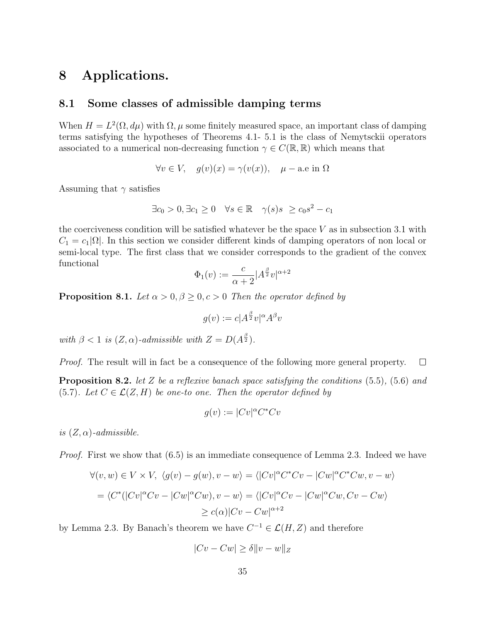## 8 Applications.

#### 8.1 Some classes of admissible damping terms

When  $H = L^2(\Omega, d\mu)$  with  $\Omega, \mu$  some finitely measured space, an important class of damping terms satisfying the hypotheses of Theorems 4.1- 5.1 is the class of Nemytsckii operators associated to a numerical non-decreasing function  $\gamma \in C(\mathbb{R}, \mathbb{R})$  which means that

$$
\forall v \in V, \quad g(v)(x) = \gamma(v(x)), \quad \mu - \text{a.e in } \Omega
$$

Assuming that  $\gamma$  satisfies

$$
\exists c_0 > 0, \exists c_1 \ge 0 \quad \forall s \in \mathbb{R} \quad \gamma(s)s \ge c_0 s^2 - c_1
$$

the coerciveness condition will be satisfied whatever be the space  $V$  as in subsection 3.1 with  $C_1 = c_1|\Omega|$ . In this section we consider different kinds of damping operators of non local or semi-local type. The first class that we consider corresponds to the gradient of the convex functional

$$
\Phi_1(v) := \frac{c}{\alpha + 2} |A^{\frac{\beta}{2}}v|^{\alpha + 2}
$$

**Proposition 8.1.** Let  $\alpha > 0, \beta \geq 0, c > 0$  Then the operator defined by

$$
g(v) := c|A^{\frac{\beta}{2}}v|^{\alpha}A^{\beta}v
$$

with  $\beta < 1$  is  $(Z, \alpha)$ -admissible with  $Z = D(A^{\frac{\beta}{2}})$ .

Proof. The result will in fact be a consequence of the following more general property.  $\Box$ 

**Proposition 8.2.** let Z be a reflexive banach space satisfying the conditions  $(5.5)$ ,  $(5.6)$  and (5.7). Let  $C \in \mathcal{L}(Z, H)$  be one-to one. Then the operator defined by

$$
g(v) := |Cv|^{\alpha} C^* C v
$$

is  $(Z, \alpha)$ -admissible.

Proof. First we show that (6.5) is an immediate consequence of Lemma 2.3. Indeed we have

$$
\forall (v, w) \in V \times V, \ \langle g(v) - g(w), v - w \rangle = \langle |Cv|^{\alpha} C^* C v - |Cw|^{\alpha} C^* C w, v - w \rangle
$$

$$
= \langle C^* (|Cv|^{\alpha} C v - |Cw|^{\alpha} C w), v - w \rangle = \langle |Cv|^{\alpha} C v - |Cw|^{\alpha} C w, Cv - Cw \rangle
$$

$$
\geq c(\alpha) |Cv - Cw|^{\alpha+2}
$$

by Lemma 2.3. By Banach's theorem we have  $C^{-1} \in \mathcal{L}(H, Z)$  and therefore

$$
|Cv - Cw| \ge \delta ||v - w||_Z
$$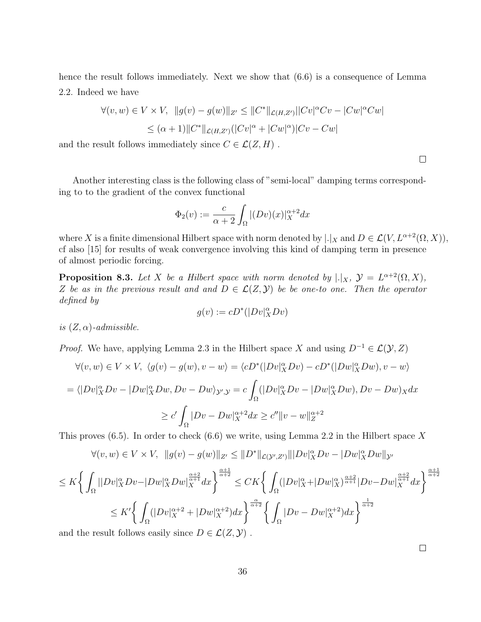hence the result follows immediately. Next we show that  $(6.6)$  is a consequence of Lemma 2.2. Indeed we have

$$
\forall (v, w) \in V \times V, \ \|g(v) - g(w)\|_{Z'} \le \|C^*\|_{\mathcal{L}(H, Z')} ||Cv|^\alpha C v - |Cw|^\alpha C w|
$$
  

$$
\le (\alpha + 1) ||C^*||_{\mathcal{L}(H, Z')} (|Cv|^\alpha + |Cw|^\alpha) |Cv - Cw|
$$

and the result follows immediately since  $C \in \mathcal{L}(Z, H)$ .

Another interesting class is the following class of "semi-local" damping terms corresponding to to the gradient of the convex functional

$$
\Phi_2(v) := \frac{c}{\alpha + 2} \int_{\Omega} |(Dv)(x)|_X^{\alpha + 2} dx
$$

where X is a finite dimensional Hilbert space with norm denoted by  $|.|_X$  and  $D \in \mathcal{L}(V, L^{\alpha+2}(\Omega, X)),$ cf also [15] for results of weak convergence involving this kind of damping term in presence of almost periodic forcing.

**Proposition 8.3.** Let X be a Hilbert space with norm denoted by  $|.|_X, \mathcal{Y} = L^{\alpha+2}(\Omega, X),$ Z be as in the previous result and and  $D \in \mathcal{L}(Z, \mathcal{Y})$  be be one-to one. Then the operator defined by

$$
g(v):=cD^*(|Dv|_X^\alpha Dv)
$$

is  $(Z, \alpha)$ -admissible.

*Proof.* We have, applying Lemma 2.3 in the Hilbert space X and using  $D^{-1} \in \mathcal{L}(\mathcal{Y}, Z)$ 

$$
\forall (v, w) \in V \times V, \ \langle g(v) - g(w), v - w \rangle = \langle cD^* (|Dv|_X^{\alpha} Dv) - cD^* (|Dw|_X^{\alpha} Dw), v - w \rangle
$$
  

$$
= \langle |Dv|_X^{\alpha} Dv - |Dw|_X^{\alpha} Dw, Dv - Dw \rangle_{\mathcal{Y}, \mathcal{Y}} = c \int_{\Omega} (|Dv|_X^{\alpha} Dv - |Dw|_X^{\alpha} Dw), Dv - Dw \rangle_X dx
$$
  

$$
\ge c' \int_{\Omega} |Dv - Dw|_X^{\alpha+2} dx \ge c'' \|v - w\|_{Z}^{\alpha+2}
$$

This proves  $(6.5)$ . In order to check  $(6.6)$  we write, using Lemma 2.2 in the Hilbert space X

$$
\forall (v, w) \in V \times V, \ \|g(v) - g(w)\|_{Z'} \le \|D^*\|_{\mathcal{L}(\mathcal{Y}',Z')} \| |Dv|_X^{\alpha} Dv - |Dw|_X^{\alpha} Dw\|_{\mathcal{Y}'}
$$

$$
\leq K \bigg\{ \int_{\Omega} ||Dv|_{X}^{\alpha} Dv - |Dw|_{X}^{\alpha} Dw|_{X}^{\frac{\alpha+2}{\alpha+1}} dx \bigg\}^{\frac{\alpha+1}{\alpha+2}} \leq CK \bigg\{ \int_{\Omega} (|Dv|_{X}^{\alpha} + |Dw|_{X}^{\alpha})^{\frac{\alpha+2}{\alpha+1}} |Dv - Dw|_{X}^{\frac{\alpha+2}{\alpha+1}} dx \bigg\}^{\frac{\alpha+1}{\alpha+2}}
$$
  

$$
\leq K' \bigg\{ \int_{\Omega} (|Dv|_{X}^{\alpha+2} + |Dw|_{X}^{\alpha+2}) dx \bigg\}^{\frac{\alpha}{\alpha+2}} \bigg\{ \int_{\Omega} |Dv - Dw|_{X}^{\alpha+2} dx \bigg\}^{\frac{1}{\alpha+2}}
$$

and the result follows easily since  $D \in \mathcal{L}(Z, \mathcal{Y})$ .

 $\Box$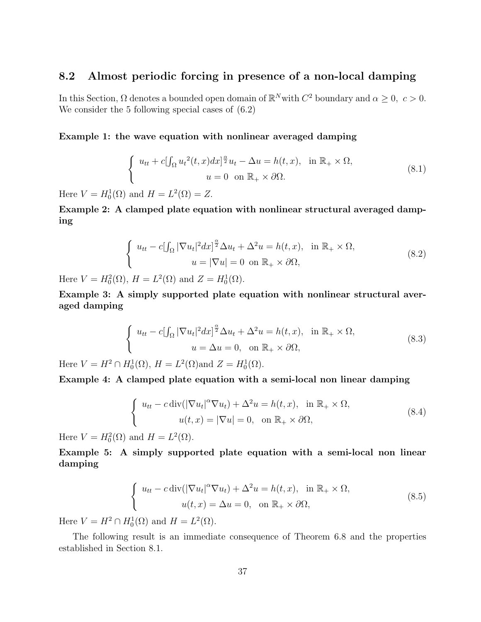## 8.2 Almost periodic forcing in presence of a non-local damping

In this Section,  $\Omega$  denotes a bounded open domain of  $\mathbb{R}^N$  with  $C^2$  boundary and  $\alpha \geq 0$ ,  $c > 0$ . We consider the 5 following special cases of  $(6.2)$ 

#### Example 1: the wave equation with nonlinear averaged damping

$$
\begin{cases}\n u_{tt} + c[\int_{\Omega} u_t^2(t, x) dx]^{\frac{\alpha}{2}} u_t - \Delta u = h(t, x), & \text{in } \mathbb{R}_+ \times \Omega, \\
 u = 0 & \text{on } \mathbb{R}_+ \times \partial\Omega.\n\end{cases}
$$
\n(8.1)

Here  $V = H_0^1(\Omega)$  and  $H = L^2(\Omega) = Z$ .

Example 2: A clamped plate equation with nonlinear structural averaged damping

$$
\begin{cases}\n u_{tt} - c \left[ \int_{\Omega} |\nabla u_t|^2 dx \right]^{\frac{\alpha}{2}} \Delta u_t + \Delta^2 u = h(t, x), & \text{in } \mathbb{R}_+ \times \Omega, \\
 u = |\nabla u| = 0 & \text{on } \mathbb{R}_+ \times \partial \Omega,\n\end{cases}
$$
\n(8.2)\n
$$
H(t) = L^2(\Omega) \text{ and } Z = H^1(\Omega)
$$

Here  $V = H_0^2(\Omega)$ ,  $H = L^2(\Omega)$  and  $Z = H_0^1(\Omega)$ .

Example 3: A simply supported plate equation with nonlinear structural averaged damping

$$
\begin{cases}\n u_{tt} - c \left[ \int_{\Omega} |\nabla u_t|^2 dx \right]^{\frac{\alpha}{2}} \Delta u_t + \Delta^2 u = h(t, x), & \text{in } \mathbb{R}_+ \times \Omega, \\
 u = \Delta u = 0, & \text{on } \mathbb{R}_+ \times \partial \Omega,\n\end{cases}
$$
\n
$$
\begin{aligned}\n \Sigma U(\Omega) & H & I^2(\Omega) & \text{if } I(\Omega) \\
 \end{aligned}
$$
\n
$$
\begin{aligned}\n \Sigma U(\Omega) & H & I^2(\Omega) & \text{if } I(\Omega) \\
 \end{aligned}
$$
\n
$$
\begin{aligned}\n \Sigma U(\Omega) & H & \text{if } I(\Omega) \\
 \end{aligned}
$$
\n
$$
\begin{aligned}\n \Sigma U(\Omega) & H & \text{if } I(\Omega) \\
 \end{aligned}
$$
\n
$$
\begin{aligned}\n \Sigma U(\Omega) & H & \text{if } I(\Omega) \\
 \end{aligned}
$$
\n
$$
\begin{aligned}\n \Sigma U(\Omega) & H & \text{if } I(\Omega) \\
 \end{aligned}
$$
\n
$$
\begin{aligned}\n \Sigma U(\Omega) & H & \text{if } I(\Omega) \\
 \end{aligned}
$$

Here  $V = H^2 \cap H_0^1(\Omega)$ ,  $H = L^2(\Omega)$  and  $Z = H_0^1(\Omega)$ .

Example 4: A clamped plate equation with a semi-local non linear damping

$$
\begin{cases}\n u_{tt} - c \operatorname{div}(|\nabla u_t|^{\alpha} \nabla u_t) + \Delta^2 u = h(t, x), & \text{in } \mathbb{R}_+ \times \Omega, \\
 u(t, x) = |\nabla u| = 0, & \text{on } \mathbb{R}_+ \times \partial \Omega,\n\end{cases}
$$
\n(8.4)

Here  $V = H_0^2(\Omega)$  and  $H = L^2(\Omega)$ .

Example 5: A simply supported plate equation with a semi-local non linear damping

$$
\begin{cases}\n u_{tt} - c \operatorname{div}(|\nabla u_t|^{\alpha} \nabla u_t) + \Delta^2 u = h(t, x), & \text{in } \mathbb{R}_+ \times \Omega, \\
 u(t, x) = \Delta u = 0, & \text{on } \mathbb{R}_+ \times \partial\Omega,\n\end{cases}
$$
\n(8.5)

Here  $V = H^2 \cap H_0^1(\Omega)$  and  $H = L^2(\Omega)$ .

The following result is an immediate consequence of Theorem 6.8 and the properties established in Section 8.1.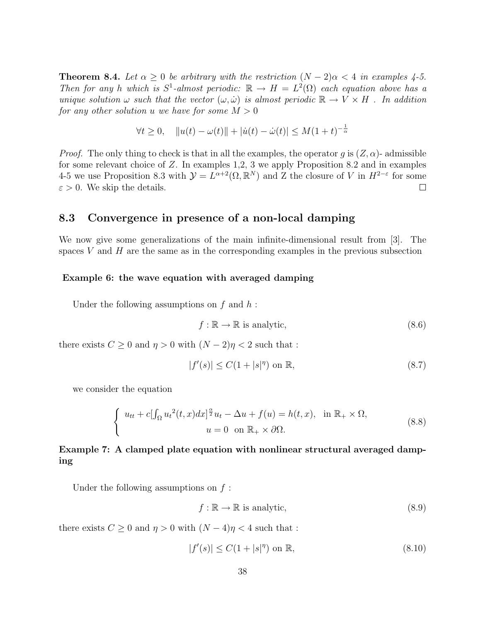**Theorem 8.4.** Let  $\alpha \geq 0$  be arbitrary with the restriction  $(N-2)\alpha < 4$  in examples 4-5. Then for any h which is  $S^1$ -almost periodic:  $\mathbb{R} \to H = L^2(\Omega)$  each equation above has a unique solution  $\omega$  such that the vector  $(\omega, \dot{\omega})$  is almost periodic  $\mathbb{R} \to V \times H$ . In addition for any other solution u we have for some  $M > 0$ 

$$
\forall t \ge 0, \quad \|u(t) - \omega(t)\| + |\dot{u}(t) - \dot{\omega}(t)| \le M(1+t)^{-\frac{1}{\alpha}}
$$

*Proof.* The only thing to check is that in all the examples, the operator q is  $(Z, \alpha)$ - admissible for some relevant choice of Z. In examples 1,2, 3 we apply Proposition 8.2 and in examples 4-5 we use Proposition 8.3 with  $\mathcal{Y} = L^{\alpha+2}(\Omega, \mathbb{R}^N)$  and Z the closure of V in  $H^{2-\epsilon}$  for some  $\varepsilon > 0$ . We skip the details.  $\Box$ 

#### 8.3 Convergence in presence of a non-local damping

We now give some generalizations of the main infinite-dimensional result from [3]. The spaces  $V$  and  $H$  are the same as in the corresponding examples in the previous subsection

#### Example 6: the wave equation with averaged damping

Under the following assumptions on  $f$  and  $h$ :

$$
f: \mathbb{R} \to \mathbb{R} \text{ is analytic},\tag{8.6}
$$

there exists  $C \geq 0$  and  $\eta > 0$  with  $(N - 2)\eta < 2$  such that :

$$
|f'(s)| \le C(1+|s|^\eta) \text{ on } \mathbb{R},\tag{8.7}
$$

we consider the equation

$$
\begin{cases}\n u_{tt} + c[\int_{\Omega} u_t^2(t, x) dx]^{\frac{\alpha}{2}} u_t - \Delta u + f(u) = h(t, x), & \text{in } \mathbb{R}_+ \times \Omega, \\
 u = 0 & \text{on } \mathbb{R}_+ \times \partial\Omega.\n\end{cases}
$$
\n(8.8)

### Example 7: A clamped plate equation with nonlinear structural averaged damping

Under the following assumptions on  $f$ :

$$
f: \mathbb{R} \to \mathbb{R} \text{ is analytic},\tag{8.9}
$$

there exists  $C > 0$  and  $\eta > 0$  with  $(N - 4)\eta < 4$  such that :

$$
|f'(s)| \le C(1 + |s|^\eta) \text{ on } \mathbb{R},\tag{8.10}
$$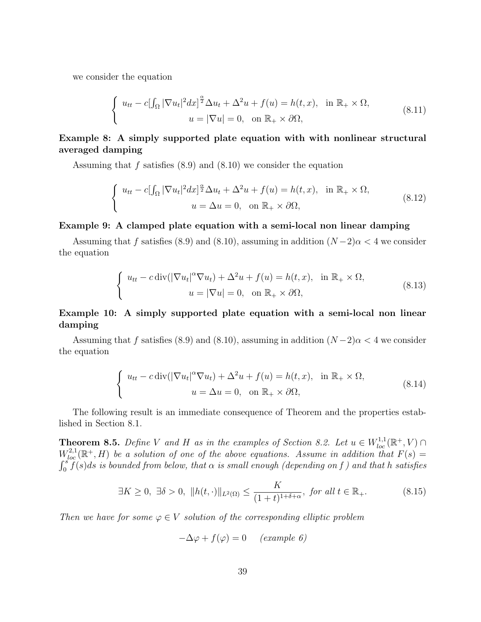we consider the equation

$$
\begin{cases}\nu_{tt} - c[\int_{\Omega} |\nabla u_t|^2 dx]^{\frac{\alpha}{2}} \Delta u_t + \Delta^2 u + f(u) = h(t, x), & \text{in } \mathbb{R}_+ \times \Omega, \\
u = |\nabla u| = 0, & \text{on } \mathbb{R}_+ \times \partial\Omega,\n\end{cases}
$$
\n(8.11)

#### Example 8: A simply supported plate equation with with nonlinear structural averaged damping

Assuming that  $f$  satisfies  $(8.9)$  and  $(8.10)$  we consider the equation

$$
\begin{cases}\nu_{tt} - c[\int_{\Omega} |\nabla u_t|^2 dx]^{\frac{\alpha}{2}} \Delta u_t + \Delta^2 u + f(u) = h(t, x), & \text{in } \mathbb{R}_+ \times \Omega, \\
u = \Delta u = 0, & \text{on } \mathbb{R}_+ \times \partial\Omega,\n\end{cases}
$$
\n(8.12)

#### Example 9: A clamped plate equation with a semi-local non linear damping

Assuming that f satisfies (8.9) and (8.10), assuming in addition  $(N-2)\alpha < 4$  we consider the equation

$$
\begin{cases}\n u_{tt} - c \operatorname{div}(|\nabla u_t|^{\alpha} \nabla u_t) + \Delta^2 u + f(u) = h(t, x), & \text{in } \mathbb{R}_+ \times \Omega, \\
 u = |\nabla u| = 0, & \text{on } \mathbb{R}_+ \times \partial \Omega,\n\end{cases}
$$
\n(8.13)

#### Example 10: A simply supported plate equation with a semi-local non linear damping

Assuming that f satisfies (8.9) and (8.10), assuming in addition  $(N-2)\alpha < 4$  we consider the equation

$$
\begin{cases}\n u_{tt} - c \operatorname{div}(|\nabla u_t|^{\alpha} \nabla u_t) + \Delta^2 u + f(u) = h(t, x), & \text{in } \mathbb{R}_+ \times \Omega, \\
 u = \Delta u = 0, & \text{on } \mathbb{R}_+ \times \partial \Omega,\n\end{cases}
$$
\n(8.14)

The following result is an immediate consequence of Theorem and the properties established in Section 8.1.

**Theorem 8.5.** Define V and H as in the examples of Section 8.2. Let  $u \in W^{1,1}_{loc}(\mathbb{R}^+, V)$  $W^{2,1}_{loc}(\mathbb{R}^+,H)$  be a solution of one of the above equations. Assume in addition that  $F(s)$  =  $\int_0^s \tilde{f}(s)ds$  is bounded from below, that  $\alpha$  is small enough (depending on f) and that h satisfies

$$
\exists K \ge 0, \ \exists \delta > 0, \ \|h(t, \cdot)\|_{L^2(\Omega)} \le \frac{K}{(1+t)^{1+\delta+\alpha}}, \text{ for all } t \in \mathbb{R}_+.
$$
 (8.15)

Then we have for some  $\varphi \in V$  solution of the corresponding elliptic problem

$$
-\Delta \varphi + f(\varphi) = 0 \quad (example \ 6)
$$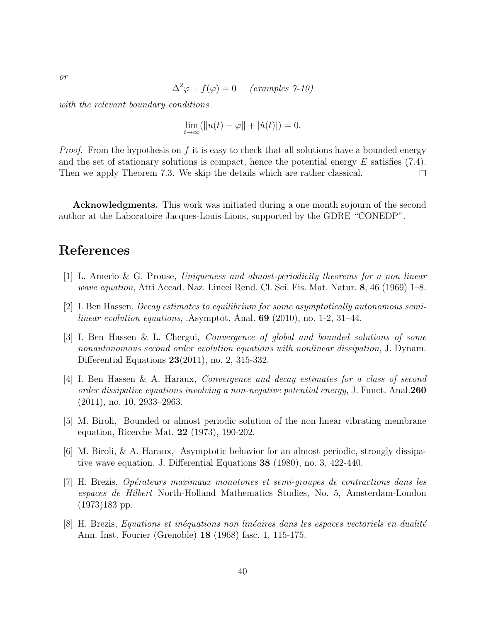$$
\Delta^2 \varphi + f(\varphi) = 0 \quad \text{(examples 7-10)}
$$

with the relevant boundary conditions

$$
\lim_{t \to \infty} (\|u(t) - \varphi\| + |\dot{u}(t)|) = 0.
$$

*Proof.* From the hypothesis on f it is easy to check that all solutions have a bounded energy and the set of stationary solutions is compact, hence the potential energy  $E$  satisfies (7.4). Then we apply Theorem 7.3. We skip the details which are rather classical.  $\Box$ 

Acknowledgments. This work was initiated during a one month sojourn of the second author at the Laboratoire Jacques-Louis Lions, supported by the GDRE "CONEDP".

# References

- [1] L. Amerio & G. Prouse, Uniqueness and almost-periodicity theorems for a non linear wave equation, Atti Accad. Naz. Lincei Rend. Cl. Sci. Fis. Mat. Natur. 8, 46 (1969) 1–8.
- [2] I. Ben Hassen, Decay estimates to equilibrium for some asymptotically autonomous semilinear evolution equations, .Asymptot. Anal. 69 (2010), no. 1-2, 31–44.
- [3] I. Ben Hassen & L. Chergui, Convergence of global and bounded solutions of some nonautonomous second order evolution equations with nonlinear dissipation, J. Dynam. Differential Equations 23(2011), no. 2, 315-332.
- [4] I. Ben Hassen & A. Haraux, Convergence and decay estimates for a class of second order dissipative equations involving a non-negative potential energy, J. Funct. Anal. 260 (2011), no. 10, 2933–2963.
- [5] M. Biroli, Bounded or almost periodic solution of the non linear vibrating membrane equation, Ricerche Mat. 22 (1973), 190-202.
- [6] M. Biroli, & A. Haraux, Asymptotic behavior for an almost periodic, strongly dissipative wave equation. J. Differential Equations 38 (1980), no. 3, 422-440.
- [7] H. Brezis, Op´erateurs maximaux monotones et semi-groupes de contractions dans les espaces de Hilbert North-Holland Mathematics Studies, No. 5, Amsterdam-London (1973)183 pp.
- $[8]$  H. Brezis, Equations et inéquations non linéaires dans les espaces vectoriels en dualité Ann. Inst. Fourier (Grenoble) 18 (1968) fasc. 1, 115-175.

or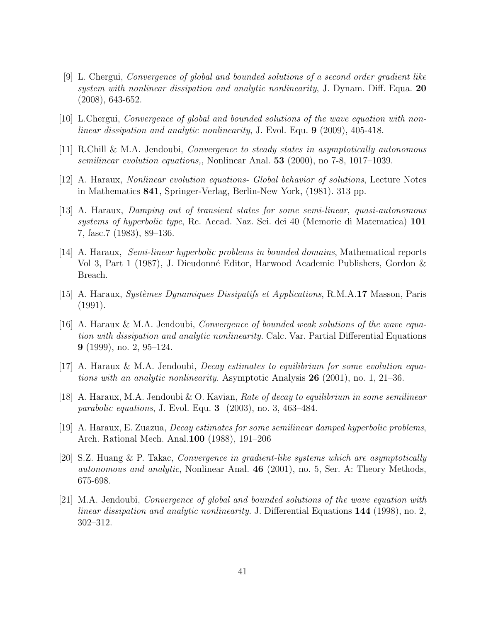- [9] L. Chergui, Convergence of global and bounded solutions of a second order gradient like system with nonlinear dissipation and analytic nonlinearity, J. Dynam. Diff. Equa. 20 (2008), 643-652.
- [10] L.Chergui, Convergence of global and bounded solutions of the wave equation with nonlinear dissipation and analytic nonlinearity, J. Evol. Equ. 9 (2009), 405-418.
- [11] R.Chill & M.A. Jendoubi, Convergence to steady states in asymptotically autonomous semilinear evolution equations,, Nonlinear Anal. 53 (2000), no 7-8, 1017–1039.
- [12] A. Haraux, Nonlinear evolution equations- Global behavior of solutions, Lecture Notes in Mathematics 841, Springer-Verlag, Berlin-New York, (1981). 313 pp.
- [13] A. Haraux, Damping out of transient states for some semi-linear, quasi-autonomous systems of hyperbolic type, Rc. Accad. Naz. Sci. dei 40 (Memorie di Matematica) 101 7, fasc.7 (1983), 89–136.
- [14] A. Haraux, Semi-linear hyperbolic problems in bounded domains, Mathematical reports Vol 3, Part 1 (1987), J. Dieudonn´e Editor, Harwood Academic Publishers, Gordon & Breach.
- [15] A. Haraux, *Systèmes Dynamiques Dissipatifs et Applications*, R.M.A.17 Masson, Paris (1991).
- [16] A. Haraux & M.A. Jendoubi, Convergence of bounded weak solutions of the wave equation with dissipation and analytic nonlinearity. Calc. Var. Partial Differential Equations 9 (1999), no. 2, 95–124.
- [17] A. Haraux & M.A. Jendoubi, Decay estimates to equilibrium for some evolution equations with an analytic nonlinearity. Asymptotic Analysis  $26$  (2001), no. 1, 21–36.
- [18] A. Haraux, M.A. Jendoubi & O. Kavian, Rate of decay to equilibrium in some semilinear parabolic equations, J. Evol. Equ. 3 (2003), no. 3, 463–484.
- [19] A. Haraux, E. Zuazua, Decay estimates for some semilinear damped hyperbolic problems, Arch. Rational Mech. Anal.100 (1988), 191–206
- [20] S.Z. Huang & P. Takac, Convergence in gradient-like systems which are asymptotically autonomous and analytic, Nonlinear Anal. 46 (2001), no. 5, Ser. A: Theory Methods, 675-698.
- [21] M.A. Jendoubi, Convergence of global and bounded solutions of the wave equation with linear dissipation and analytic nonlinearity. J. Differential Equations 144 (1998), no. 2, 302–312.